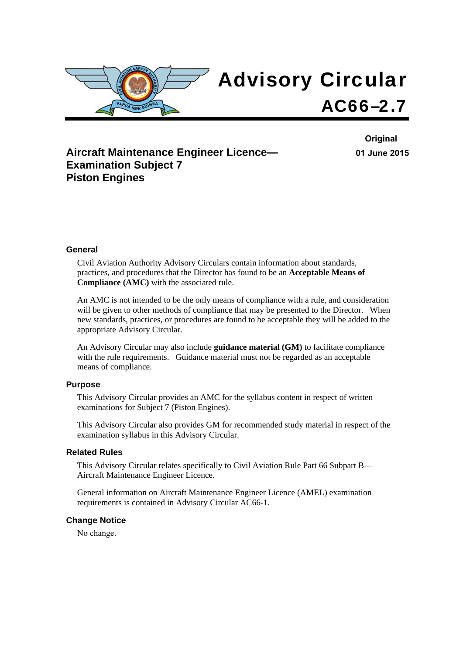

# **Aircraft Maintenance Engineer Licence— Examination Subject 7 Piston Engines**

**Original 01 June 2015**

#### **General**

Civil Aviation Authority Advisory Circulars contain information about standards, practices, and procedures that the Director has found to be an **Acceptable Means of Compliance (AMC)** with the associated rule.

An AMC is not intended to be the only means of compliance with a rule, and consideration will be given to other methods of compliance that may be presented to the Director. When new standards, practices, or procedures are found to be acceptable they will be added to the appropriate Advisory Circular.

An Advisory Circular may also include **guidance material (GM)** to facilitate compliance with the rule requirements. Guidance material must not be regarded as an acceptable means of compliance.

#### **Purpose**

This Advisory Circular provides an AMC for the syllabus content in respect of written examinations for Subject 7 (Piston Engines).

This Advisory Circular also provides GM for recommended study material in respect of the examination syllabus in this Advisory Circular.

#### **Related Rules**

This Advisory Circular relates specifically to Civil Aviation Rule Part 66 Subpart B— Aircraft Maintenance Engineer Licence.

General information on Aircraft Maintenance Engineer Licence (AMEL) examination requirements is contained in Advisory Circular AC66-1.

#### **Change Notice**

No change.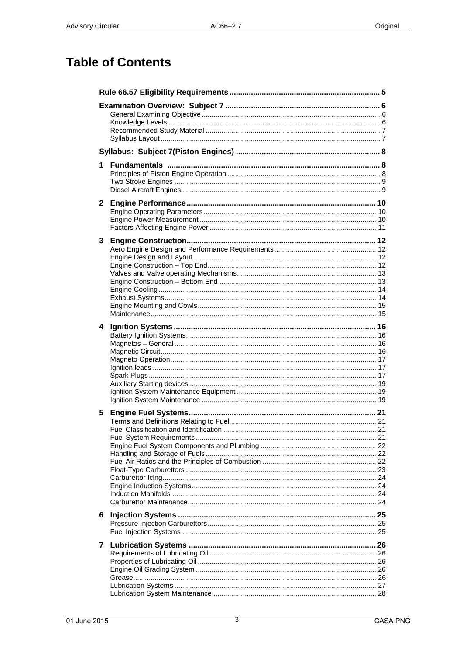# **Table of Contents**

| 1            |  |
|--------------|--|
| $\mathbf{2}$ |  |
| 3            |  |
| 4            |  |
| 5            |  |
| 6            |  |
| 7            |  |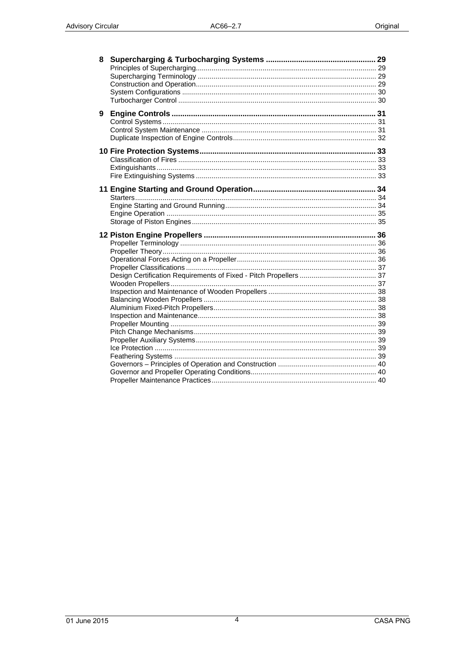| 8 |  |
|---|--|
|   |  |
|   |  |
|   |  |
|   |  |
|   |  |
| 9 |  |
|   |  |
|   |  |
|   |  |
|   |  |
|   |  |
|   |  |
|   |  |
|   |  |
|   |  |
|   |  |
|   |  |
|   |  |
|   |  |
|   |  |
|   |  |
|   |  |
|   |  |
|   |  |
|   |  |
|   |  |
|   |  |
|   |  |
|   |  |
|   |  |
|   |  |
|   |  |
|   |  |
|   |  |
|   |  |
|   |  |
|   |  |
|   |  |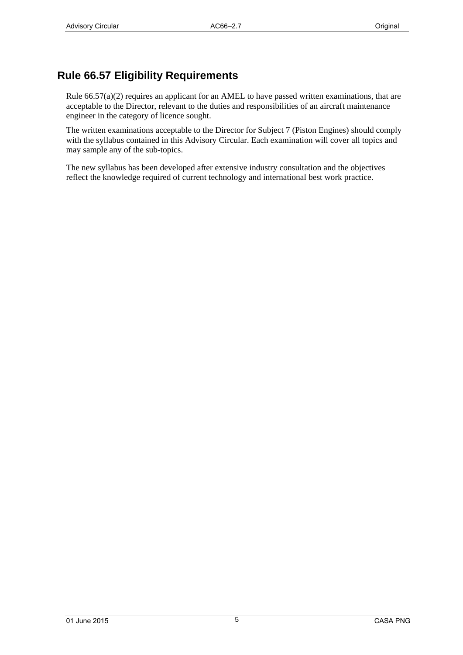# <span id="page-4-0"></span>**Rule 66.57 Eligibility Requirements**

Rule 66.57(a)(2) requires an applicant for an AMEL to have passed written examinations, that are acceptable to the Director, relevant to the duties and responsibilities of an aircraft maintenance engineer in the category of licence sought.

The written examinations acceptable to the Director for Subject 7 (Piston Engines) should comply with the syllabus contained in this Advisory Circular. Each examination will cover all topics and may sample any of the sub-topics.

The new syllabus has been developed after extensive industry consultation and the objectives reflect the knowledge required of current technology and international best work practice.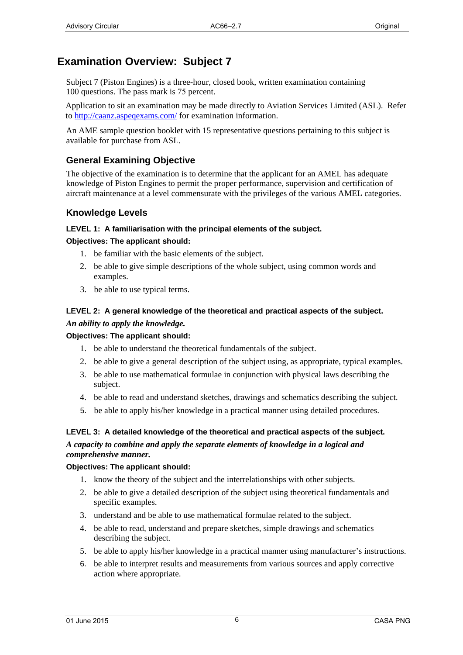# <span id="page-5-0"></span>**Examination Overview: Subject 7**

Subject 7 (Piston Engines) is a three-hour, closed book, written examination containing 100 questions. The pass mark is 75 percent.

Application to sit an examination may be made directly to Aviation Services Limited (ASL). Refer to [http://caanz.aspeqex](http://www.aviation.co.nz/)ams.com/ for examination information.

An AME sample question booklet with 15 representative questions pertaining to this subject is available for purchase from ASL.

# **General Examining Objective**

The objective of the examination is to determine that the applicant for an AMEL has adequate knowledge of Piston Engines to permit the proper performance, supervision and certification of aircraft maintenance at a level commensurate with the privileges of the various AMEL categories.

## **Knowledge Levels**

#### **LEVEL 1: A familiarisation with the principal elements of the subject.**

#### **Objectives: The applicant should:**

- 1. be familiar with the basic elements of the subject.
- 2. be able to give simple descriptions of the whole subject, using common words and examples.
- 3. be able to use typical terms.

### **LEVEL 2: A general knowledge of the theoretical and practical aspects of the subject.**  *An ability to apply the knowledge.*

#### **Objectives: The applicant should:**

- 1. be able to understand the theoretical fundamentals of the subject.
- 2. be able to give a general description of the subject using, as appropriate, typical examples.
- 3. be able to use mathematical formulae in conjunction with physical laws describing the subject.
- 4. be able to read and understand sketches, drawings and schematics describing the subject.
- 5. be able to apply his/her knowledge in a practical manner using detailed procedures.

#### **LEVEL 3: A detailed knowledge of the theoretical and practical aspects of the subject.**  *A capacity to combine and apply the separate elements of knowledge in a logical and comprehensive manner.*

#### **Objectives: The applicant should:**

- 1. know the theory of the subject and the interrelationships with other subjects.
- 2. be able to give a detailed description of the subject using theoretical fundamentals and specific examples.
- 3. understand and be able to use mathematical formulae related to the subject.
- 4. be able to read, understand and prepare sketches, simple drawings and schematics describing the subject.
- 5. be able to apply his/her knowledge in a practical manner using manufacturer's instructions.
- 6. be able to interpret results and measurements from various sources and apply corrective action where appropriate.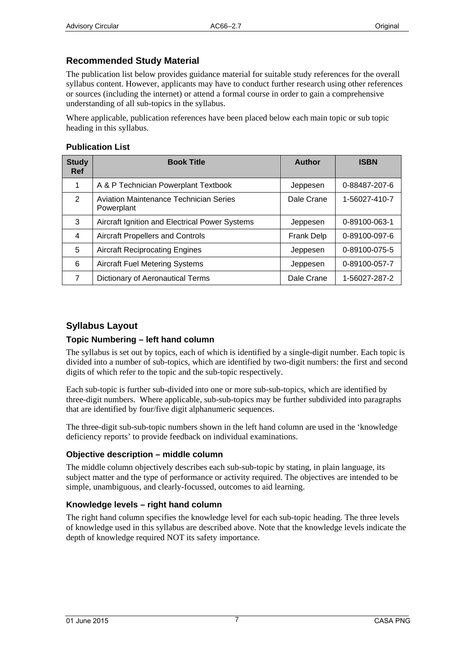# <span id="page-6-0"></span>**Recommended Study Material**

The publication list below provides guidance material for suitable study references for the overall syllabus content. However, applicants may have to conduct further research using other references or sources (including the internet) or attend a formal course in order to gain a comprehensive understanding of all sub-topics in the syllabus.

Where applicable, publication references have been placed below each main topic or sub topic heading in this syllabus.

#### **Publication List**

| <b>Study</b><br><b>Ref</b> | <b>Book Title</b>                                           | <b>Author</b>     | <b>ISBN</b>   |
|----------------------------|-------------------------------------------------------------|-------------------|---------------|
| $\mathbf 1$                | A & P Technician Powerplant Textbook                        | Jeppesen          | 0-88487-207-6 |
| 2                          | <b>Aviation Maintenance Technician Series</b><br>Powerplant | Dale Crane        | 1-56027-410-7 |
| 3                          | Aircraft Ignition and Electrical Power Systems              | Jeppesen          | 0-89100-063-1 |
| 4                          | <b>Aircraft Propellers and Controls</b>                     | <b>Frank Delp</b> | 0-89100-097-6 |
| 5                          | <b>Aircraft Reciprocating Engines</b>                       | Jeppesen          | 0-89100-075-5 |
| 6                          | <b>Aircraft Fuel Metering Systems</b>                       | Jeppesen          | 0-89100-057-7 |
| 7                          | <b>Dictionary of Aeronautical Terms</b>                     | Dale Crane        | 1-56027-287-2 |

### **Syllabus Layout**

#### **Topic Numbering – left hand column**

The syllabus is set out by topics, each of which is identified by a single-digit number. Each topic is divided into a number of sub-topics, which are identified by two-digit numbers: the first and second digits of which refer to the topic and the sub-topic respectively.

Each sub-topic is further sub-divided into one or more sub-sub-topics, which are identified by three-digit numbers. Where applicable, sub-sub-topics may be further subdivided into paragraphs that are identified by four/five digit alphanumeric sequences.

The three-digit sub-sub-topic numbers shown in the left hand column are used in the 'knowledge deficiency reports' to provide feedback on individual examinations.

#### **Objective description – middle column**

The middle column objectively describes each sub-sub-topic by stating, in plain language, its subject matter and the type of performance or activity required. The objectives are intended to be simple, unambiguous, and clearly-focussed, outcomes to aid learning.

#### **Knowledge levels – right hand column**

The right hand column specifies the knowledge level for each sub-topic heading. The three levels of knowledge used in this syllabus are described above. Note that the knowledge levels indicate the depth of knowledge required NOT its safety importance.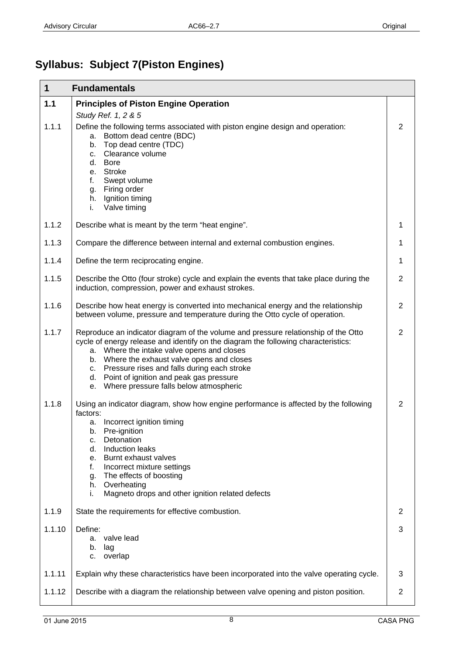# <span id="page-7-0"></span>**Syllabus: Subject 7(Piston Engines)**

| $\mathbf 1$ | <b>Fundamentals</b>                                                                                                                                                                                                                                                                                                                                                                                                |                |
|-------------|--------------------------------------------------------------------------------------------------------------------------------------------------------------------------------------------------------------------------------------------------------------------------------------------------------------------------------------------------------------------------------------------------------------------|----------------|
| 1.1         | <b>Principles of Piston Engine Operation</b>                                                                                                                                                                                                                                                                                                                                                                       |                |
| 1.1.1       | Study Ref. 1, 2 & 5<br>Define the following terms associated with piston engine design and operation:<br>a. Bottom dead centre (BDC)<br>Top dead centre (TDC)<br>b.<br>Clearance volume<br>C.<br><b>Bore</b><br>d.<br>e. Stroke<br>Swept volume<br>f.<br>g. Firing order<br>h. Ignition timing<br>Valve timing<br>i.                                                                                               | $\overline{2}$ |
| 1.1.2       | Describe what is meant by the term "heat engine".                                                                                                                                                                                                                                                                                                                                                                  | 1              |
| 1.1.3       | Compare the difference between internal and external combustion engines.                                                                                                                                                                                                                                                                                                                                           | 1              |
| 1.1.4       | Define the term reciprocating engine.                                                                                                                                                                                                                                                                                                                                                                              | 1              |
| 1.1.5       | Describe the Otto (four stroke) cycle and explain the events that take place during the<br>induction, compression, power and exhaust strokes.                                                                                                                                                                                                                                                                      | $\overline{2}$ |
| 1.1.6       | Describe how heat energy is converted into mechanical energy and the relationship<br>between volume, pressure and temperature during the Otto cycle of operation.                                                                                                                                                                                                                                                  | $\overline{2}$ |
| 1.1.7       | Reproduce an indicator diagram of the volume and pressure relationship of the Otto<br>cycle of energy release and identify on the diagram the following characteristics:<br>a. Where the intake valve opens and closes<br>b. Where the exhaust valve opens and closes<br>c. Pressure rises and falls during each stroke<br>d. Point of ignition and peak gas pressure<br>e. Where pressure falls below atmospheric | $\overline{2}$ |
| 1.1.8       | Using an indicator diagram, show how engine performance is affected by the following<br>factors:<br>a. Incorrect ignition timing<br>Pre-ignition<br>b.<br>Detonation<br>c.<br>Induction leaks<br>d.<br>Burnt exhaust valves<br>е.<br>f.<br>Incorrect mixture settings<br>The effects of boosting<br>g.<br>Overheating<br>h.<br>Magneto drops and other ignition related defects<br>i.                              | $\overline{2}$ |
| 1.1.9       | State the requirements for effective combustion.                                                                                                                                                                                                                                                                                                                                                                   | 2              |
| 1.1.10      | Define:<br>valve lead<br>a.<br>b.<br>lag<br>overlap<br>c.                                                                                                                                                                                                                                                                                                                                                          | 3              |
| 1.1.11      | Explain why these characteristics have been incorporated into the valve operating cycle.                                                                                                                                                                                                                                                                                                                           | 3              |
| 1.1.12      | Describe with a diagram the relationship between valve opening and piston position.                                                                                                                                                                                                                                                                                                                                | $\overline{2}$ |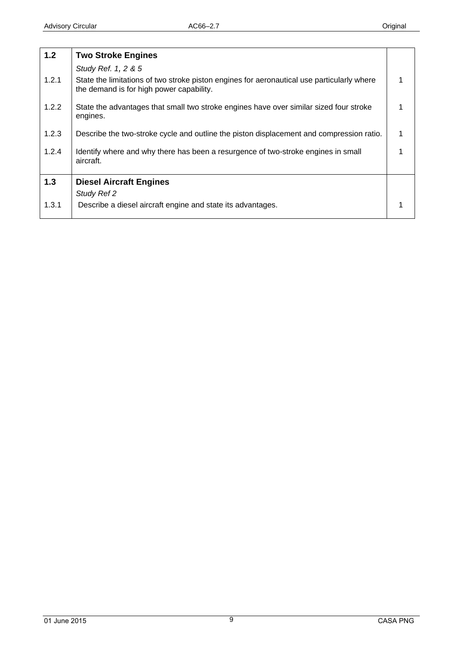<span id="page-8-0"></span>

| $1.2$ | <b>Two Stroke Engines</b>                                                                                                              |  |
|-------|----------------------------------------------------------------------------------------------------------------------------------------|--|
|       | Study Ref. 1, 2 & 5                                                                                                                    |  |
| 1.2.1 | State the limitations of two stroke piston engines for aeronautical use particularly where<br>the demand is for high power capability. |  |
| 1.2.2 | State the advantages that small two stroke engines have over similar sized four stroke<br>engines.                                     |  |
| 1.2.3 | Describe the two-stroke cycle and outline the piston displacement and compression ratio.                                               |  |
| 1.2.4 | Identify where and why there has been a resurgence of two-stroke engines in small<br>aircraft.                                         |  |
| 1.3   | <b>Diesel Aircraft Engines</b>                                                                                                         |  |
|       | Study Ref 2                                                                                                                            |  |
| 1.3.1 | Describe a diesel aircraft engine and state its advantages.                                                                            |  |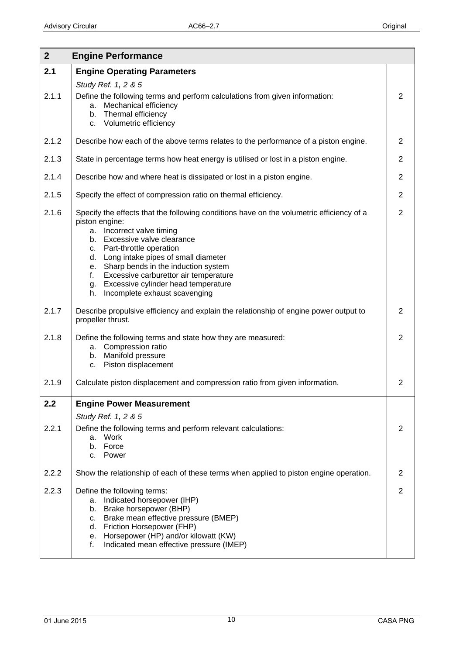<span id="page-9-0"></span>

| $\overline{2}$ | <b>Engine Performance</b>                                                                                                                                                                                                                                                                                                                                                                                                    |                |
|----------------|------------------------------------------------------------------------------------------------------------------------------------------------------------------------------------------------------------------------------------------------------------------------------------------------------------------------------------------------------------------------------------------------------------------------------|----------------|
| 2.1            | <b>Engine Operating Parameters</b>                                                                                                                                                                                                                                                                                                                                                                                           |                |
| 2.1.1          | Study Ref. 1, 2 & 5<br>Define the following terms and perform calculations from given information:<br>a. Mechanical efficiency<br>Thermal efficiency<br>b.<br>c. Volumetric efficiency                                                                                                                                                                                                                                       | 2              |
| 2.1.2          | Describe how each of the above terms relates to the performance of a piston engine.                                                                                                                                                                                                                                                                                                                                          | $\overline{2}$ |
| 2.1.3          | State in percentage terms how heat energy is utilised or lost in a piston engine.                                                                                                                                                                                                                                                                                                                                            | $\overline{2}$ |
| 2.1.4          | Describe how and where heat is dissipated or lost in a piston engine.                                                                                                                                                                                                                                                                                                                                                        | $\overline{2}$ |
| 2.1.5          | Specify the effect of compression ratio on thermal efficiency.                                                                                                                                                                                                                                                                                                                                                               | $\overline{2}$ |
| 2.1.6          | Specify the effects that the following conditions have on the volumetric efficiency of a<br>piston engine:<br>a. Incorrect valve timing<br>b. Excessive valve clearance<br>c. Part-throttle operation<br>d. Long intake pipes of small diameter<br>e. Sharp bends in the induction system<br>Excessive carburettor air temperature<br>f.<br>Excessive cylinder head temperature<br>g.<br>Incomplete exhaust scavenging<br>h. | $\overline{2}$ |
| 2.1.7          | Describe propulsive efficiency and explain the relationship of engine power output to<br>propeller thrust.                                                                                                                                                                                                                                                                                                                   | $\overline{2}$ |
| 2.1.8          | Define the following terms and state how they are measured:<br>a. Compression ratio<br>Manifold pressure<br>b.<br>c. Piston displacement                                                                                                                                                                                                                                                                                     | 2              |
| 2.1.9          | Calculate piston displacement and compression ratio from given information.                                                                                                                                                                                                                                                                                                                                                  | $\overline{2}$ |
| 2.2            | <b>Engine Power Measurement</b>                                                                                                                                                                                                                                                                                                                                                                                              |                |
| 2.2.1          | Study Ref. 1, 2 & 5<br>Define the following terms and perform relevant calculations:<br>a. Work<br>b. Force<br>c. Power                                                                                                                                                                                                                                                                                                      | 2              |
| 2.2.2          | Show the relationship of each of these terms when applied to piston engine operation.                                                                                                                                                                                                                                                                                                                                        | $\overline{2}$ |
| 2.2.3          | Define the following terms:<br>Indicated horsepower (IHP)<br>а.<br>b. Brake horsepower (BHP)<br>Brake mean effective pressure (BMEP)<br>c.<br>d. Friction Horsepower (FHP)<br>Horsepower (HP) and/or kilowatt (KW)<br>е.<br>Indicated mean effective pressure (IMEP)<br>f.                                                                                                                                                   | $\overline{2}$ |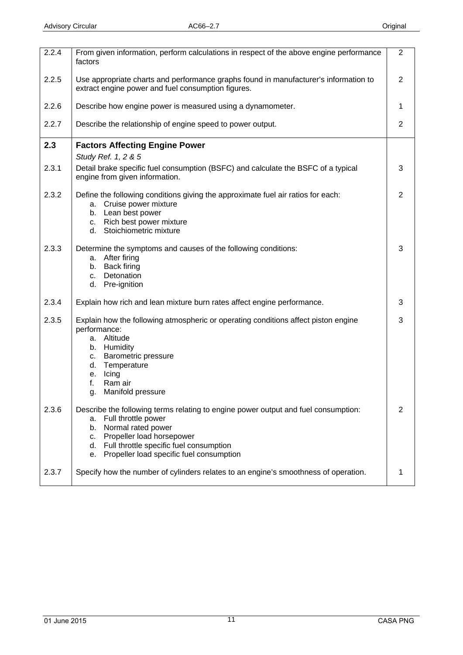<span id="page-10-0"></span>

| 2.2.4 | From given information, perform calculations in respect of the above engine performance<br>factors                                                                                                                                                                                | $\overline{2}$ |
|-------|-----------------------------------------------------------------------------------------------------------------------------------------------------------------------------------------------------------------------------------------------------------------------------------|----------------|
| 2.2.5 | Use appropriate charts and performance graphs found in manufacturer's information to<br>extract engine power and fuel consumption figures.                                                                                                                                        | $\overline{2}$ |
| 2.2.6 | Describe how engine power is measured using a dynamometer.                                                                                                                                                                                                                        | 1              |
| 2.2.7 | Describe the relationship of engine speed to power output.                                                                                                                                                                                                                        | $\overline{2}$ |
| 2.3   | <b>Factors Affecting Engine Power</b>                                                                                                                                                                                                                                             |                |
|       | Study Ref. 1, 2 & 5                                                                                                                                                                                                                                                               |                |
| 2.3.1 | Detail brake specific fuel consumption (BSFC) and calculate the BSFC of a typical<br>engine from given information.                                                                                                                                                               | 3              |
| 2.3.2 | Define the following conditions giving the approximate fuel air ratios for each:<br>a. Cruise power mixture<br>b. Lean best power<br>c. Rich best power mixture<br>d.<br>Stoichiometric mixture                                                                                   | $\overline{2}$ |
| 2.3.3 | Determine the symptoms and causes of the following conditions:<br>After firing<br>a.<br>Back firing<br>b.<br>c. Detonation<br>d. Pre-ignition                                                                                                                                     | 3              |
| 2.3.4 | Explain how rich and lean mixture burn rates affect engine performance.                                                                                                                                                                                                           | 3              |
| 2.3.5 | Explain how the following atmospheric or operating conditions affect piston engine<br>performance:<br>a. Altitude<br>b. Humidity<br>Barometric pressure<br>C.<br>Temperature<br>d.<br>Icing<br>е.<br>f.<br>Ram air<br>Manifold pressure                                           | 3              |
| 2.3.6 | Describe the following terms relating to engine power output and fuel consumption:<br>Full throttle power<br>а.<br>Normal rated power<br>b.<br>Propeller load horsepower<br>C.<br>Full throttle specific fuel consumption<br>d.<br>Propeller load specific fuel consumption<br>е. | $\overline{2}$ |
| 2.3.7 | Specify how the number of cylinders relates to an engine's smoothness of operation.                                                                                                                                                                                               | 1              |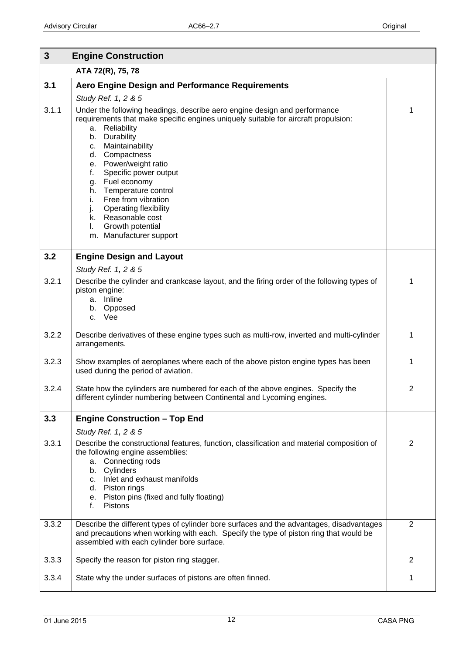<span id="page-11-0"></span>

| $\mathbf{3}$ | <b>Engine Construction</b>                                                                                                                                                                                                                                                                                                                                                                                                                                                                                      |                |
|--------------|-----------------------------------------------------------------------------------------------------------------------------------------------------------------------------------------------------------------------------------------------------------------------------------------------------------------------------------------------------------------------------------------------------------------------------------------------------------------------------------------------------------------|----------------|
|              | ATA 72(R), 75, 78                                                                                                                                                                                                                                                                                                                                                                                                                                                                                               |                |
| 3.1          | <b>Aero Engine Design and Performance Requirements</b>                                                                                                                                                                                                                                                                                                                                                                                                                                                          |                |
|              | Study Ref. 1, 2 & 5                                                                                                                                                                                                                                                                                                                                                                                                                                                                                             |                |
| 3.1.1        | Under the following headings, describe aero engine design and performance<br>requirements that make specific engines uniquely suitable for aircraft propulsion:<br>Reliability<br>a.<br>Durability<br>b.<br>Maintainability<br>c.<br>Compactness<br>d.<br>e. Power/weight ratio<br>Specific power output<br>f.<br>Fuel economy<br>g.<br>Temperature control<br>h.<br>Free from vibration<br>i.<br><b>Operating flexibility</b><br>j.<br>k. Reasonable cost<br>Growth potential<br>I.<br>m. Manufacturer support | 1              |
| 3.2          | <b>Engine Design and Layout</b>                                                                                                                                                                                                                                                                                                                                                                                                                                                                                 |                |
| 3.2.1        | Study Ref. 1, 2 & 5<br>Describe the cylinder and crankcase layout, and the firing order of the following types of                                                                                                                                                                                                                                                                                                                                                                                               | 1              |
|              | piston engine:                                                                                                                                                                                                                                                                                                                                                                                                                                                                                                  |                |
|              | a. Inline<br>Opposed<br>b.                                                                                                                                                                                                                                                                                                                                                                                                                                                                                      |                |
|              | c. Vee                                                                                                                                                                                                                                                                                                                                                                                                                                                                                                          |                |
| 3.2.2        | Describe derivatives of these engine types such as multi-row, inverted and multi-cylinder<br>arrangements.                                                                                                                                                                                                                                                                                                                                                                                                      | 1              |
| 3.2.3        | Show examples of aeroplanes where each of the above piston engine types has been<br>used during the period of aviation.                                                                                                                                                                                                                                                                                                                                                                                         | 1              |
| 3.2.4        | State how the cylinders are numbered for each of the above engines. Specify the<br>different cylinder numbering between Continental and Lycoming engines.                                                                                                                                                                                                                                                                                                                                                       | $\overline{2}$ |
| 3.3          | <b>Engine Construction - Top End</b>                                                                                                                                                                                                                                                                                                                                                                                                                                                                            |                |
|              | Study Ref. 1, 2 & 5                                                                                                                                                                                                                                                                                                                                                                                                                                                                                             |                |
| 3.3.1        | Describe the constructional features, function, classification and material composition of<br>the following engine assemblies:                                                                                                                                                                                                                                                                                                                                                                                  | $\overline{2}$ |
|              | a. Connecting rods                                                                                                                                                                                                                                                                                                                                                                                                                                                                                              |                |
|              | Cylinders<br>b.<br>Inlet and exhaust manifolds<br>C <sub>1</sub>                                                                                                                                                                                                                                                                                                                                                                                                                                                |                |
|              | d. Piston rings                                                                                                                                                                                                                                                                                                                                                                                                                                                                                                 |                |
|              | e. Piston pins (fixed and fully floating)<br>f.<br>Pistons                                                                                                                                                                                                                                                                                                                                                                                                                                                      |                |
| 3.3.2        | Describe the different types of cylinder bore surfaces and the advantages, disadvantages                                                                                                                                                                                                                                                                                                                                                                                                                        | $\overline{2}$ |
|              | and precautions when working with each. Specify the type of piston ring that would be<br>assembled with each cylinder bore surface.                                                                                                                                                                                                                                                                                                                                                                             |                |
| 3.3.3        | Specify the reason for piston ring stagger.                                                                                                                                                                                                                                                                                                                                                                                                                                                                     | $\overline{2}$ |
| 3.3.4        | State why the under surfaces of pistons are often finned.                                                                                                                                                                                                                                                                                                                                                                                                                                                       | 1              |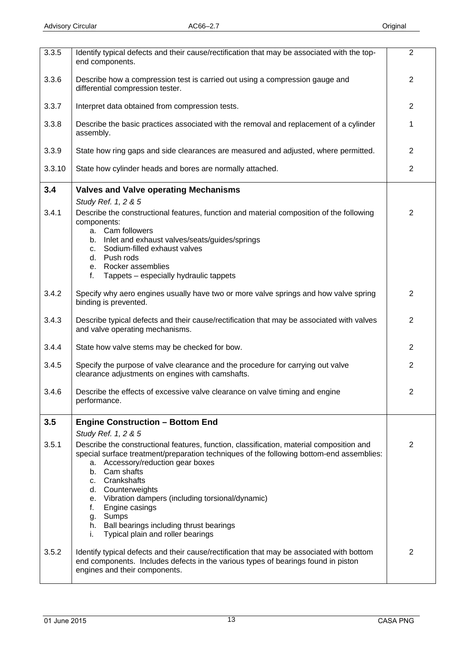<span id="page-12-0"></span>

| 3.3.5        | Identify typical defects and their cause/rectification that may be associated with the top-<br>end components.                                                                                                                                                                                                                       | $\overline{2}$ |
|--------------|--------------------------------------------------------------------------------------------------------------------------------------------------------------------------------------------------------------------------------------------------------------------------------------------------------------------------------------|----------------|
| 3.3.6        | Describe how a compression test is carried out using a compression gauge and<br>differential compression tester.                                                                                                                                                                                                                     | $\overline{2}$ |
| 3.3.7        | Interpret data obtained from compression tests.                                                                                                                                                                                                                                                                                      | 2              |
| 3.3.8        | Describe the basic practices associated with the removal and replacement of a cylinder<br>assembly.                                                                                                                                                                                                                                  | 1              |
| 3.3.9        | State how ring gaps and side clearances are measured and adjusted, where permitted.                                                                                                                                                                                                                                                  | $\overline{2}$ |
| 3.3.10       | State how cylinder heads and bores are normally attached.                                                                                                                                                                                                                                                                            | $\overline{2}$ |
| 3.4          | <b>Valves and Valve operating Mechanisms</b>                                                                                                                                                                                                                                                                                         |                |
| 3.4.1        | Study Ref. 1, 2 & 5<br>Describe the constructional features, function and material composition of the following<br>components:<br>a. Cam followers<br>b. Inlet and exhaust valves/seats/guides/springs<br>Sodium-filled exhaust valves<br>C.<br>d. Push rods<br>e. Rocker assemblies<br>f.<br>Tappets – especially hydraulic tappets | $\overline{2}$ |
| 3.4.2        | Specify why aero engines usually have two or more valve springs and how valve spring<br>binding is prevented.                                                                                                                                                                                                                        | $\overline{2}$ |
| 3.4.3        | Describe typical defects and their cause/rectification that may be associated with valves<br>and valve operating mechanisms.                                                                                                                                                                                                         | 2              |
| 3.4.4        | State how valve stems may be checked for bow.                                                                                                                                                                                                                                                                                        | 2              |
| 3.4.5        | Specify the purpose of valve clearance and the procedure for carrying out valve<br>clearance adjustments on engines with camshafts.                                                                                                                                                                                                  | $\overline{2}$ |
| 3.4.6        | Describe the effects of excessive valve clearance on valve timing and engine<br>performance.                                                                                                                                                                                                                                         | 2              |
| 3.5<br>3.5.1 | <b>Engine Construction - Bottom End</b><br>Study Ref. 1, 2 & 5<br>Describe the constructional features, function, classification, material composition and<br>special surface treatment/preparation techniques of the following bottom-end assemblies:<br>a. Accessory/reduction gear boxes<br>b. Cam shafts                         | $\overline{2}$ |
|              | c. Crankshafts<br>d. Counterweights<br>e. Vibration dampers (including torsional/dynamic)<br>Engine casings<br>f.<br>Sumps<br>g.<br>h. Ball bearings including thrust bearings<br>Typical plain and roller bearings<br>i.                                                                                                            |                |
| 3.5.2        | Identify typical defects and their cause/rectification that may be associated with bottom<br>end components. Includes defects in the various types of bearings found in piston<br>engines and their components.                                                                                                                      | $\overline{2}$ |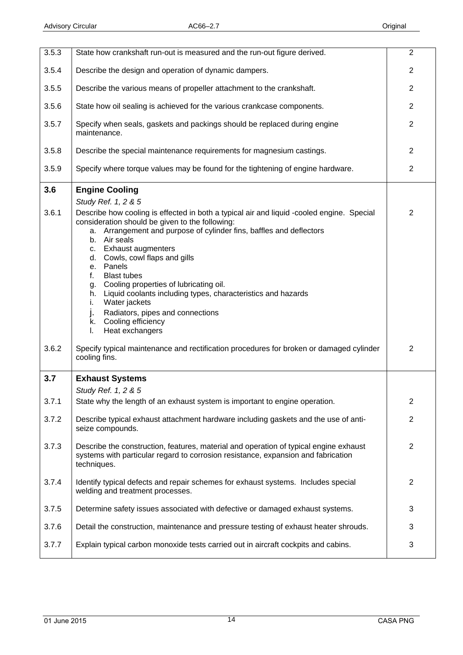<span id="page-13-0"></span>

| 3.5.3 | State how crankshaft run-out is measured and the run-out figure derived.                                                                                                                                                                                                                                                                                                                                                                                                                                                                                                                            | $\overline{2}$ |
|-------|-----------------------------------------------------------------------------------------------------------------------------------------------------------------------------------------------------------------------------------------------------------------------------------------------------------------------------------------------------------------------------------------------------------------------------------------------------------------------------------------------------------------------------------------------------------------------------------------------------|----------------|
| 3.5.4 | Describe the design and operation of dynamic dampers.                                                                                                                                                                                                                                                                                                                                                                                                                                                                                                                                               | $\overline{2}$ |
| 3.5.5 | Describe the various means of propeller attachment to the crankshaft.                                                                                                                                                                                                                                                                                                                                                                                                                                                                                                                               | 2              |
| 3.5.6 | State how oil sealing is achieved for the various crankcase components.                                                                                                                                                                                                                                                                                                                                                                                                                                                                                                                             | $\overline{2}$ |
| 3.5.7 | Specify when seals, gaskets and packings should be replaced during engine<br>maintenance.                                                                                                                                                                                                                                                                                                                                                                                                                                                                                                           | $\overline{2}$ |
| 3.5.8 | Describe the special maintenance requirements for magnesium castings.                                                                                                                                                                                                                                                                                                                                                                                                                                                                                                                               | $\overline{2}$ |
| 3.5.9 | Specify where torque values may be found for the tightening of engine hardware.                                                                                                                                                                                                                                                                                                                                                                                                                                                                                                                     | $\overline{2}$ |
| 3.6   | <b>Engine Cooling</b><br>Study Ref. 1, 2 & 5                                                                                                                                                                                                                                                                                                                                                                                                                                                                                                                                                        |                |
| 3.6.1 | Describe how cooling is effected in both a typical air and liquid -cooled engine. Special<br>consideration should be given to the following:<br>a. Arrangement and purpose of cylinder fins, baffles and deflectors<br>Air seals<br>b.<br><b>Exhaust augmenters</b><br>C.<br>Cowls, cowl flaps and gills<br>d.<br>e. Panels<br><b>Blast tubes</b><br>f.<br>Cooling properties of lubricating oil.<br>g.<br>Liquid coolants including types, characteristics and hazards<br>h.<br>Water jackets<br>i.<br>Radiators, pipes and connections<br>j.<br>Cooling efficiency<br>k.<br>Heat exchangers<br>I. | $\overline{2}$ |
| 3.6.2 | Specify typical maintenance and rectification procedures for broken or damaged cylinder<br>cooling fins.                                                                                                                                                                                                                                                                                                                                                                                                                                                                                            | $\overline{2}$ |
| 3.7   | <b>Exhaust Systems</b><br>Study Ref. 1, 2 & 5                                                                                                                                                                                                                                                                                                                                                                                                                                                                                                                                                       |                |
| 3.7.1 | State why the length of an exhaust system is important to engine operation.                                                                                                                                                                                                                                                                                                                                                                                                                                                                                                                         | $\overline{2}$ |
| 3.7.2 | Describe typical exhaust attachment hardware including gaskets and the use of anti-<br>seize compounds.                                                                                                                                                                                                                                                                                                                                                                                                                                                                                             | $\overline{2}$ |
| 3.7.3 | Describe the construction, features, material and operation of typical engine exhaust<br>systems with particular regard to corrosion resistance, expansion and fabrication<br>techniques.                                                                                                                                                                                                                                                                                                                                                                                                           | $\overline{2}$ |
| 3.7.4 | Identify typical defects and repair schemes for exhaust systems. Includes special<br>welding and treatment processes.                                                                                                                                                                                                                                                                                                                                                                                                                                                                               | $\overline{2}$ |
| 3.7.5 | Determine safety issues associated with defective or damaged exhaust systems.                                                                                                                                                                                                                                                                                                                                                                                                                                                                                                                       | 3              |
| 3.7.6 | Detail the construction, maintenance and pressure testing of exhaust heater shrouds.                                                                                                                                                                                                                                                                                                                                                                                                                                                                                                                | 3              |
| 3.7.7 | Explain typical carbon monoxide tests carried out in aircraft cockpits and cabins.                                                                                                                                                                                                                                                                                                                                                                                                                                                                                                                  | 3              |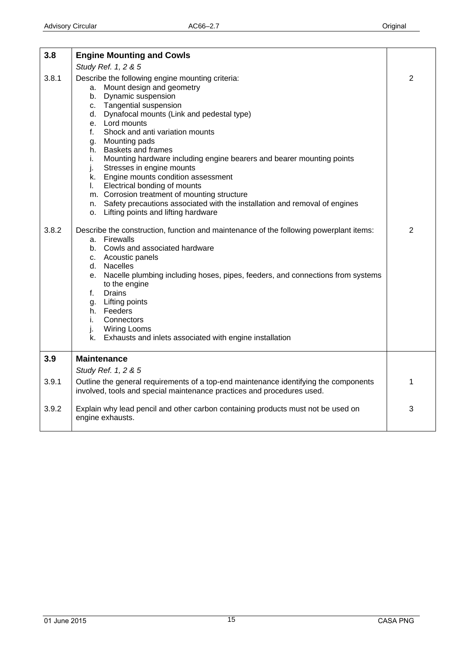<span id="page-14-0"></span>

| 3.8   | <b>Engine Mounting and Cowls</b>                                                                                                                                                                                                                                                                                                                                                                                                                                                                                                                                                                                                                                                                      |                |
|-------|-------------------------------------------------------------------------------------------------------------------------------------------------------------------------------------------------------------------------------------------------------------------------------------------------------------------------------------------------------------------------------------------------------------------------------------------------------------------------------------------------------------------------------------------------------------------------------------------------------------------------------------------------------------------------------------------------------|----------------|
|       | Study Ref. 1, 2 & 5                                                                                                                                                                                                                                                                                                                                                                                                                                                                                                                                                                                                                                                                                   |                |
| 3.8.1 | Describe the following engine mounting criteria:<br>a. Mount design and geometry<br>b. Dynamic suspension<br><b>Tangential suspension</b><br>$C_{1}$<br>d. Dynafocal mounts (Link and pedestal type)<br>e. Lord mounts<br>Shock and anti variation mounts<br>f.<br>Mounting pads<br>g.<br><b>Baskets and frames</b><br>h.<br>Mounting hardware including engine bearers and bearer mounting points<br>i.<br>Stresses in engine mounts<br>j.<br>k. Engine mounts condition assessment<br>Electrical bonding of mounts<br>L.<br>m. Corrosion treatment of mounting structure<br>n. Safety precautions associated with the installation and removal of engines<br>o. Lifting points and lifting hardware | $\overline{2}$ |
| 3.8.2 | Describe the construction, function and maintenance of the following powerplant items:<br>a. Firewalls<br>b. Cowls and associated hardware<br>c. Acoustic panels<br>d. Nacelles<br>e. Nacelle plumbing including hoses, pipes, feeders, and connections from systems<br>to the engine<br><b>Drains</b><br>f.<br>Lifting points<br>g.<br>h. Feeders<br>Connectors<br>i.<br>j.<br><b>Wiring Looms</b><br>k. Exhausts and inlets associated with engine installation                                                                                                                                                                                                                                     | 2              |
| 3.9   | <b>Maintenance</b>                                                                                                                                                                                                                                                                                                                                                                                                                                                                                                                                                                                                                                                                                    |                |
|       | Study Ref. 1, 2 & 5                                                                                                                                                                                                                                                                                                                                                                                                                                                                                                                                                                                                                                                                                   |                |
| 3.9.1 | Outline the general requirements of a top-end maintenance identifying the components<br>involved, tools and special maintenance practices and procedures used.                                                                                                                                                                                                                                                                                                                                                                                                                                                                                                                                        | $\mathbf{1}$   |
| 3.9.2 | Explain why lead pencil and other carbon containing products must not be used on<br>engine exhausts.                                                                                                                                                                                                                                                                                                                                                                                                                                                                                                                                                                                                  | 3              |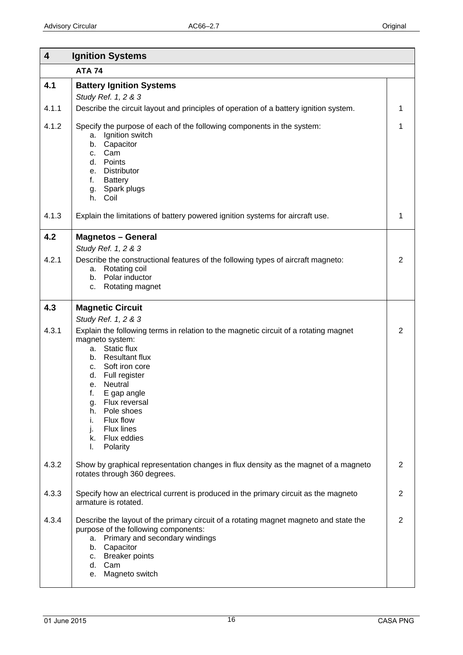<span id="page-15-0"></span>

| 4     | <b>Ignition Systems</b>                                                                                                                                                                                                                                                                                                                                                       |                |
|-------|-------------------------------------------------------------------------------------------------------------------------------------------------------------------------------------------------------------------------------------------------------------------------------------------------------------------------------------------------------------------------------|----------------|
|       | <b>ATA 74</b>                                                                                                                                                                                                                                                                                                                                                                 |                |
| 4.1   | <b>Battery Ignition Systems</b><br>Study Ref. 1, 2 & 3                                                                                                                                                                                                                                                                                                                        |                |
| 4.1.1 | Describe the circuit layout and principles of operation of a battery ignition system.                                                                                                                                                                                                                                                                                         | 1              |
| 4.1.2 | Specify the purpose of each of the following components in the system:<br>Ignition switch<br>a.<br>Capacitor<br>b.<br>Cam<br>C.<br>Points<br>d.<br><b>Distributor</b><br>e.<br><b>Battery</b><br>f.<br>Spark plugs<br>g.<br>h. Coil                                                                                                                                           | 1              |
| 4.1.3 | Explain the limitations of battery powered ignition systems for aircraft use.                                                                                                                                                                                                                                                                                                 | 1              |
| 4.2   | <b>Magnetos - General</b><br>Study Ref. 1, 2 & 3                                                                                                                                                                                                                                                                                                                              |                |
| 4.2.1 | Describe the constructional features of the following types of aircraft magneto:<br>Rotating coil<br>а.<br>b. Polar inductor<br>Rotating magnet<br>C.                                                                                                                                                                                                                         | $\overline{2}$ |
| 4.3   | <b>Magnetic Circuit</b>                                                                                                                                                                                                                                                                                                                                                       |                |
| 4.3.1 | Study Ref. 1, 2 & 3<br>Explain the following terms in relation to the magnetic circuit of a rotating magnet<br>magneto system:<br>a. Static flux<br>b. Resultant flux<br>c. Soft iron core<br>Full register<br>d.<br>Neutral<br>е.<br>f.<br>E gap angle<br>Flux reversal<br>g.<br>Pole shoes<br>h.<br>Flux flow<br>i.<br>Flux lines<br>j.<br>k. Flux eddies<br>Polarity<br>L. | 2              |
| 4.3.2 | Show by graphical representation changes in flux density as the magnet of a magneto<br>rotates through 360 degrees.                                                                                                                                                                                                                                                           | 2              |
| 4.3.3 | Specify how an electrical current is produced in the primary circuit as the magneto<br>armature is rotated.                                                                                                                                                                                                                                                                   | 2              |
| 4.3.4 | Describe the layout of the primary circuit of a rotating magnet magneto and state the<br>purpose of the following components:<br>Primary and secondary windings<br>a.<br>b. Capacitor<br>c. Breaker points<br>d. Cam<br>Magneto switch<br>е.                                                                                                                                  | $\overline{2}$ |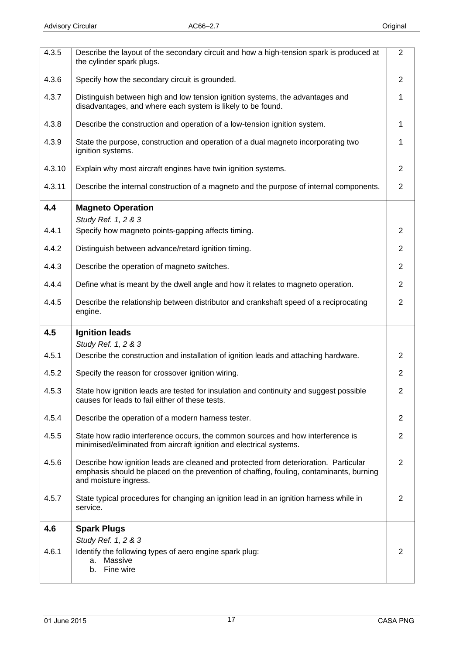<span id="page-16-0"></span>

| 4.3.5  | Describe the layout of the secondary circuit and how a high-tension spark is produced at<br>the cylinder spark plugs.                                                                                    | $\overline{2}$ |
|--------|----------------------------------------------------------------------------------------------------------------------------------------------------------------------------------------------------------|----------------|
| 4.3.6  | Specify how the secondary circuit is grounded.                                                                                                                                                           | $\overline{2}$ |
| 4.3.7  | Distinguish between high and low tension ignition systems, the advantages and<br>disadvantages, and where each system is likely to be found.                                                             | 1              |
| 4.3.8  | Describe the construction and operation of a low-tension ignition system.                                                                                                                                | 1              |
| 4.3.9  | State the purpose, construction and operation of a dual magneto incorporating two<br>ignition systems.                                                                                                   | 1              |
| 4.3.10 | Explain why most aircraft engines have twin ignition systems.                                                                                                                                            | 2              |
| 4.3.11 | Describe the internal construction of a magneto and the purpose of internal components.                                                                                                                  | $\overline{2}$ |
| 4.4    | <b>Magneto Operation</b><br>Study Ref. 1, 2 & 3                                                                                                                                                          |                |
| 4.4.1  | Specify how magneto points-gapping affects timing.                                                                                                                                                       | 2              |
| 4.4.2  | Distinguish between advance/retard ignition timing.                                                                                                                                                      | $\overline{2}$ |
| 4.4.3  | Describe the operation of magneto switches.                                                                                                                                                              | $\overline{2}$ |
| 4.4.4  | Define what is meant by the dwell angle and how it relates to magneto operation.                                                                                                                         | $\overline{2}$ |
| 4.4.5  | Describe the relationship between distributor and crankshaft speed of a reciprocating<br>engine.                                                                                                         | $\overline{2}$ |
| 4.5    | <b>Ignition leads</b>                                                                                                                                                                                    |                |
| 4.5.1  | Study Ref. 1, 2 & 3<br>Describe the construction and installation of ignition leads and attaching hardware.                                                                                              | 2              |
| 4.5.2  | Specify the reason for crossover ignition wiring.                                                                                                                                                        | $\overline{2}$ |
| 4.5.3  | State how ignition leads are tested for insulation and continuity and suggest possible<br>causes for leads to fail either of these tests.                                                                | 2              |
| 4.5.4  | Describe the operation of a modern harness tester.                                                                                                                                                       | 2              |
| 4.5.5  | State how radio interference occurs, the common sources and how interference is<br>minimised/eliminated from aircraft ignition and electrical systems.                                                   | $\overline{2}$ |
| 4.5.6  | Describe how ignition leads are cleaned and protected from deterioration. Particular<br>emphasis should be placed on the prevention of chaffing, fouling, contaminants, burning<br>and moisture ingress. | 2              |
| 4.5.7  | State typical procedures for changing an ignition lead in an ignition harness while in<br>service.                                                                                                       | 2              |
| 4.6    | <b>Spark Plugs</b>                                                                                                                                                                                       |                |
| 4.6.1  | Study Ref. 1, 2 & 3<br>Identify the following types of aero engine spark plug:<br>a. Massive<br>Fine wire<br>b.                                                                                          | 2              |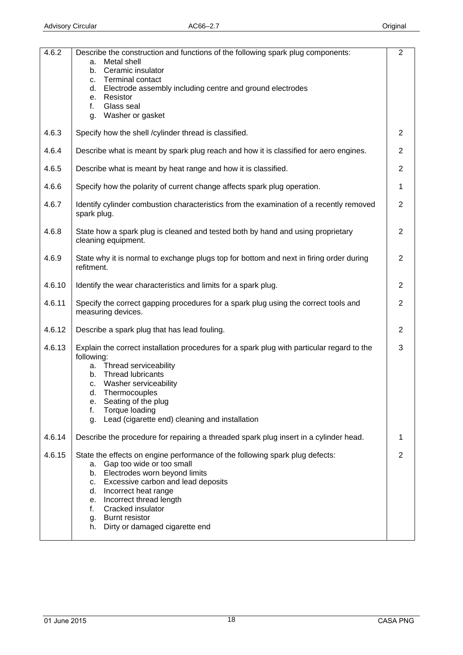| 4.6.2  | Describe the construction and functions of the following spark plug components:<br>Metal shell<br>а.<br>Ceramic insulator<br>b.<br><b>Terminal contact</b><br>c.<br>Electrode assembly including centre and ground electrodes<br>d.<br>Resistor<br>е.<br>Glass seal<br>f.                                                                        | $\overline{2}$ |
|--------|--------------------------------------------------------------------------------------------------------------------------------------------------------------------------------------------------------------------------------------------------------------------------------------------------------------------------------------------------|----------------|
|        | Washer or gasket<br>g.                                                                                                                                                                                                                                                                                                                           |                |
| 4.6.3  | Specify how the shell /cylinder thread is classified.                                                                                                                                                                                                                                                                                            | 2              |
| 4.6.4  | Describe what is meant by spark plug reach and how it is classified for aero engines.                                                                                                                                                                                                                                                            | 2              |
| 4.6.5  | Describe what is meant by heat range and how it is classified.                                                                                                                                                                                                                                                                                   | $\overline{2}$ |
| 4.6.6  | Specify how the polarity of current change affects spark plug operation.                                                                                                                                                                                                                                                                         | 1              |
| 4.6.7  | Identify cylinder combustion characteristics from the examination of a recently removed<br>spark plug.                                                                                                                                                                                                                                           | 2              |
| 4.6.8  | State how a spark plug is cleaned and tested both by hand and using proprietary<br>cleaning equipment.                                                                                                                                                                                                                                           | 2              |
| 4.6.9  | State why it is normal to exchange plugs top for bottom and next in firing order during<br>refitment.                                                                                                                                                                                                                                            | $\overline{2}$ |
| 4.6.10 | Identify the wear characteristics and limits for a spark plug.                                                                                                                                                                                                                                                                                   | 2              |
| 4.6.11 | Specify the correct gapping procedures for a spark plug using the correct tools and<br>measuring devices.                                                                                                                                                                                                                                        | $\overline{2}$ |
| 4.6.12 | Describe a spark plug that has lead fouling.                                                                                                                                                                                                                                                                                                     | 2              |
| 4.6.13 | Explain the correct installation procedures for a spark plug with particular regard to the<br>following:<br>Thread serviceability<br>а.<br><b>Thread lubricants</b><br>b.<br>Washer serviceability<br>C.<br>d.<br>Thermocouples<br>Seating of the plug<br>е.<br>Torque loading<br>f.<br>Lead (cigarette end) cleaning and installation<br>g.     | 3              |
| 4.6.14 | Describe the procedure for repairing a threaded spark plug insert in a cylinder head.                                                                                                                                                                                                                                                            | 1              |
| 4.6.15 | State the effects on engine performance of the following spark plug defects:<br>Gap too wide or too small<br>а.<br>Electrodes worn beyond limits<br>b.<br>c. Excessive carbon and lead deposits<br>d. Incorrect heat range<br>e. Incorrect thread length<br>Cracked insulator<br>f.<br>g. Burnt resistor<br>Dirty or damaged cigarette end<br>h. | 2              |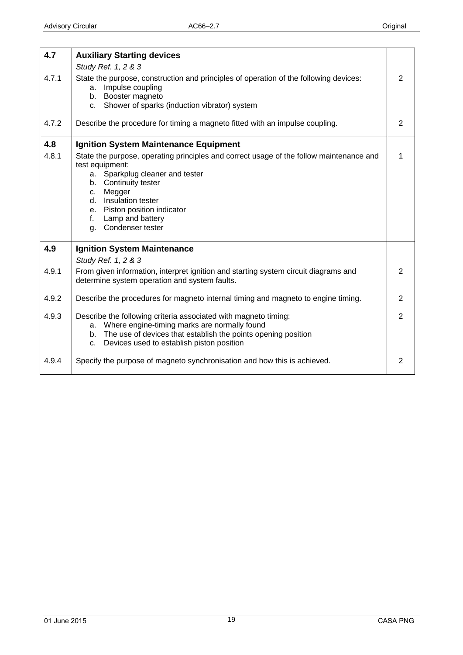<span id="page-18-0"></span>

| 4.7   | <b>Auxiliary Starting devices</b>                                                                                                                                                                                                                                                                              |                |
|-------|----------------------------------------------------------------------------------------------------------------------------------------------------------------------------------------------------------------------------------------------------------------------------------------------------------------|----------------|
| 4.7.1 | Study Ref. 1, 2 & 3<br>State the purpose, construction and principles of operation of the following devices:<br>a. Impulse coupling<br>b. Booster magneto<br>Shower of sparks (induction vibrator) system<br>$C_{\rm L}$                                                                                       | 2              |
| 4.7.2 | Describe the procedure for timing a magneto fitted with an impulse coupling.                                                                                                                                                                                                                                   | 2              |
| 4.8   | <b>Ignition System Maintenance Equipment</b>                                                                                                                                                                                                                                                                   |                |
| 4.8.1 | State the purpose, operating principles and correct usage of the follow maintenance and<br>test equipment:<br>a. Sparkplug cleaner and tester<br>b. Continuity tester<br>Megger<br>C.<br>Insulation tester<br>d.<br>e. Piston position indicator<br>Lamp and battery<br>$f_{\rm{r}}$<br>Condenser tester<br>g. | 1              |
| 4.9   | <b>Ignition System Maintenance</b>                                                                                                                                                                                                                                                                             |                |
|       | Study Ref. 1, 2 & 3                                                                                                                                                                                                                                                                                            |                |
| 4.9.1 | From given information, interpret ignition and starting system circuit diagrams and<br>determine system operation and system faults.                                                                                                                                                                           | 2              |
| 4.9.2 | Describe the procedures for magneto internal timing and magneto to engine timing.                                                                                                                                                                                                                              | $\overline{2}$ |
| 4.9.3 | Describe the following criteria associated with magneto timing:<br>a. Where engine-timing marks are normally found<br>b. The use of devices that establish the points opening position<br>Devices used to establish piston position<br>C <sub>1</sub>                                                          | $\overline{2}$ |
| 4.9.4 | Specify the purpose of magneto synchronisation and how this is achieved.                                                                                                                                                                                                                                       | 2              |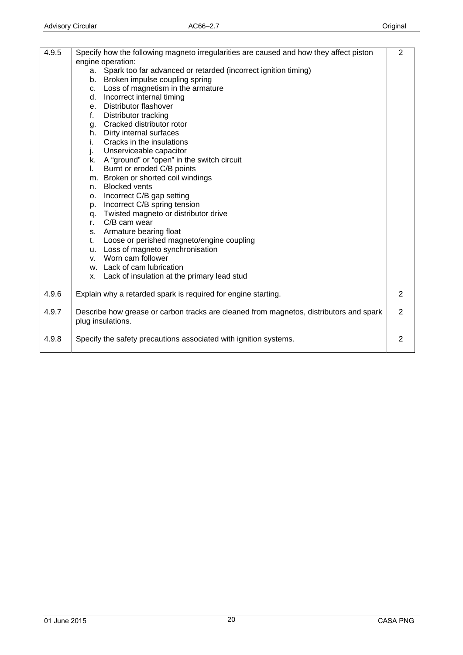| 4.9.5 | Specify how the following magneto irregularities are caused and how they affect piston                      | $\overline{2}$ |
|-------|-------------------------------------------------------------------------------------------------------------|----------------|
|       | engine operation:                                                                                           |                |
|       | Spark too far advanced or retarded (incorrect ignition timing)<br>a.                                        |                |
|       | b. Broken impulse coupling spring                                                                           |                |
|       | c. Loss of magnetism in the armature                                                                        |                |
|       | d. Incorrect internal timing                                                                                |                |
|       | e. Distributor flashover                                                                                    |                |
|       | f.<br>Distributor tracking                                                                                  |                |
|       | g. Cracked distributor rotor                                                                                |                |
|       | h. Dirty internal surfaces                                                                                  |                |
|       | Cracks in the insulations<br>i.                                                                             |                |
|       | j.<br>Unserviceable capacitor                                                                               |                |
|       | k. A "ground" or "open" in the switch circuit                                                               |                |
|       | Burnt or eroded C/B points<br>I.                                                                            |                |
|       | m. Broken or shorted coil windings                                                                          |                |
|       | <b>Blocked vents</b><br>n.                                                                                  |                |
|       | Incorrect C/B gap setting<br>0.                                                                             |                |
|       | p. Incorrect C/B spring tension                                                                             |                |
|       | q. Twisted magneto or distributor drive                                                                     |                |
|       | r. C/B cam wear                                                                                             |                |
|       | s. Armature bearing float                                                                                   |                |
|       | Loose or perished magneto/engine coupling<br>t.                                                             |                |
|       | u. Loss of magneto synchronisation                                                                          |                |
|       | Worn cam follower<br>V.                                                                                     |                |
|       | w. Lack of cam lubrication                                                                                  |                |
|       | x. Lack of insulation at the primary lead stud                                                              |                |
| 4.9.6 | Explain why a retarded spark is required for engine starting.                                               | $\overline{2}$ |
| 4.9.7 | Describe how grease or carbon tracks are cleaned from magnetos, distributors and spark<br>plug insulations. | 2              |
| 4.9.8 | Specify the safety precautions associated with ignition systems.                                            | 2              |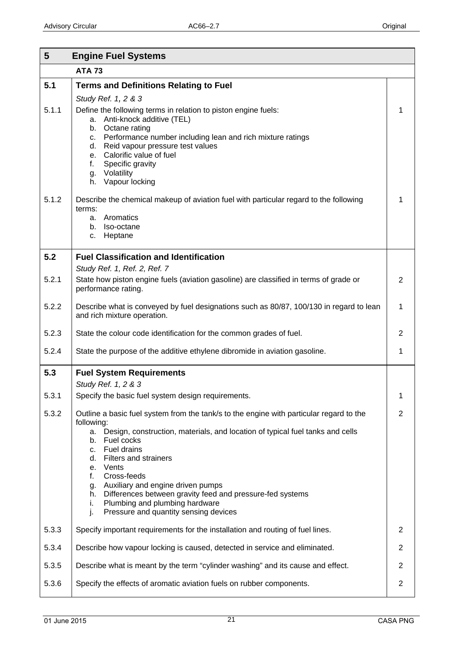<span id="page-20-0"></span>

| 5     | <b>Engine Fuel Systems</b>                                                                                                                                                                                                                                                               |                |
|-------|------------------------------------------------------------------------------------------------------------------------------------------------------------------------------------------------------------------------------------------------------------------------------------------|----------------|
|       | <b>ATA 73</b>                                                                                                                                                                                                                                                                            |                |
| 5.1   | <b>Terms and Definitions Relating to Fuel</b>                                                                                                                                                                                                                                            |                |
| 5.1.1 | Study Ref. 1, 2 & 3<br>Define the following terms in relation to piston engine fuels:<br>a. Anti-knock additive (TEL)<br>b. Octane rating<br>Performance number including lean and rich mixture ratings<br>c.<br>Reid vapour pressure test values<br>d.<br>Calorific value of fuel<br>е. | 1              |
| 5.1.2 | Specific gravity<br>f.<br>Volatility<br>g.<br>Vapour locking<br>h.<br>Describe the chemical makeup of aviation fuel with particular regard to the following<br>terms:<br>Aromatics<br>а.<br>Iso-octane<br>b.<br>Heptane<br>c.                                                            | 1              |
| 5.2   | <b>Fuel Classification and Identification</b>                                                                                                                                                                                                                                            |                |
|       | Study Ref. 1, Ref. 2, Ref. 7                                                                                                                                                                                                                                                             |                |
| 5.2.1 | State how piston engine fuels (aviation gasoline) are classified in terms of grade or<br>performance rating.                                                                                                                                                                             | 2              |
| 5.2.2 | Describe what is conveyed by fuel designations such as 80/87, 100/130 in regard to lean<br>and rich mixture operation.                                                                                                                                                                   | 1              |
| 5.2.3 | State the colour code identification for the common grades of fuel.                                                                                                                                                                                                                      | 2              |
| 5.2.4 | State the purpose of the additive ethylene dibromide in aviation gasoline.                                                                                                                                                                                                               | 1              |
| 5.3   | <b>Fuel System Requirements</b>                                                                                                                                                                                                                                                          |                |
| 5.3.1 | Study Ref. 1, 2 & 3<br>Specify the basic fuel system design requirements.                                                                                                                                                                                                                | $\mathbf{1}$   |
| 5.3.2 | Outline a basic fuel system from the tank/s to the engine with particular regard to the                                                                                                                                                                                                  | $\overline{2}$ |
|       | following:<br>a. Design, construction, materials, and location of typical fuel tanks and cells<br>Fuel cocks<br>b.<br>Fuel drains<br>C.<br><b>Filters and strainers</b><br>d.<br>Vents<br>$e_{1}$                                                                                        |                |
|       | Cross-feeds<br>f.<br>Auxiliary and engine driven pumps<br>g.<br>Differences between gravity feed and pressure-fed systems<br>h.<br>Plumbing and plumbing hardware<br>i.<br>j.<br>Pressure and quantity sensing devices                                                                   |                |
| 5.3.3 | Specify important requirements for the installation and routing of fuel lines.                                                                                                                                                                                                           | 2              |
| 5.3.4 | Describe how vapour locking is caused, detected in service and eliminated.                                                                                                                                                                                                               | $\overline{2}$ |
| 5.3.5 | Describe what is meant by the term "cylinder washing" and its cause and effect.                                                                                                                                                                                                          | $\overline{2}$ |
| 5.3.6 | Specify the effects of aromatic aviation fuels on rubber components.                                                                                                                                                                                                                     | $\mathbf{2}$   |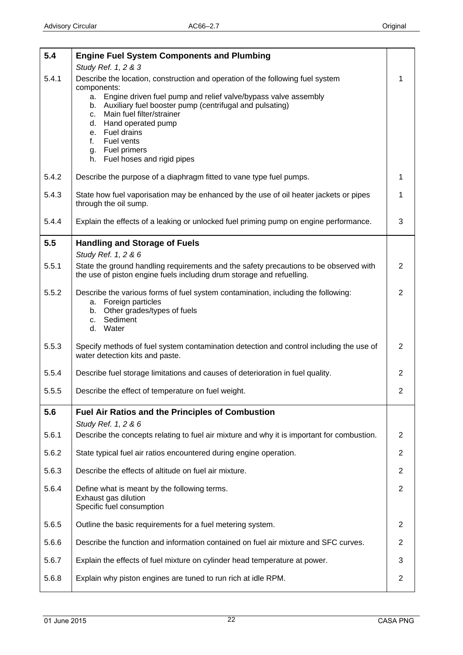<span id="page-21-0"></span>

| 5.4   | <b>Engine Fuel System Components and Plumbing</b>                                                                                                              |                |
|-------|----------------------------------------------------------------------------------------------------------------------------------------------------------------|----------------|
|       | Study Ref. 1, 2 & 3                                                                                                                                            |                |
| 5.4.1 | Describe the location, construction and operation of the following fuel system<br>components:                                                                  | 1              |
|       | Engine driven fuel pump and relief valve/bypass valve assembly<br>a.<br>b. Auxiliary fuel booster pump (centrifugal and pulsating)                             |                |
|       | Main fuel filter/strainer<br>C.                                                                                                                                |                |
|       | Hand operated pump<br>d.<br>e. Fuel drains                                                                                                                     |                |
|       | Fuel vents<br>f.                                                                                                                                               |                |
|       | <b>Fuel primers</b><br>g.<br>h. Fuel hoses and rigid pipes                                                                                                     |                |
| 5.4.2 | Describe the purpose of a diaphragm fitted to vane type fuel pumps.                                                                                            | 1              |
| 5.4.3 | State how fuel vaporisation may be enhanced by the use of oil heater jackets or pipes<br>through the oil sump.                                                 | 1              |
| 5.4.4 | Explain the effects of a leaking or unlocked fuel priming pump on engine performance.                                                                          | 3              |
| 5.5   | <b>Handling and Storage of Fuels</b><br>Study Ref. 1, 2 & 6                                                                                                    |                |
| 5.5.1 | State the ground handling requirements and the safety precautions to be observed with<br>the use of piston engine fuels including drum storage and refuelling. | $\overline{2}$ |
| 5.5.2 | Describe the various forms of fuel system contamination, including the following:                                                                              | $\overline{2}$ |
|       | a. Foreign particles<br>b. Other grades/types of fuels                                                                                                         |                |
|       | Sediment<br>C.                                                                                                                                                 |                |
|       | d. Water                                                                                                                                                       |                |
| 5.5.3 | Specify methods of fuel system contamination detection and control including the use of<br>water detection kits and paste.                                     | $\overline{2}$ |
| 5.5.4 | Describe fuel storage limitations and causes of deterioration in fuel quality.                                                                                 | $\overline{2}$ |
| 5.5.5 | Describe the effect of temperature on fuel weight.                                                                                                             | $\overline{2}$ |
| 5.6   | <b>Fuel Air Ratios and the Principles of Combustion</b><br>Study Ref. 1, 2 & 6                                                                                 |                |
| 5.6.1 | Describe the concepts relating to fuel air mixture and why it is important for combustion.                                                                     | 2              |
| 5.6.2 | State typical fuel air ratios encountered during engine operation.                                                                                             | $\overline{2}$ |
| 5.6.3 | Describe the effects of altitude on fuel air mixture.                                                                                                          | $\overline{2}$ |
| 5.6.4 | Define what is meant by the following terms.                                                                                                                   | $\overline{2}$ |
|       | Exhaust gas dilution<br>Specific fuel consumption                                                                                                              |                |
| 5.6.5 | Outline the basic requirements for a fuel metering system.                                                                                                     | 2              |
| 5.6.6 | Describe the function and information contained on fuel air mixture and SFC curves.                                                                            | $\overline{2}$ |
| 5.6.7 | Explain the effects of fuel mixture on cylinder head temperature at power.                                                                                     | 3              |
| 5.6.8 | Explain why piston engines are tuned to run rich at idle RPM.                                                                                                  | $\overline{2}$ |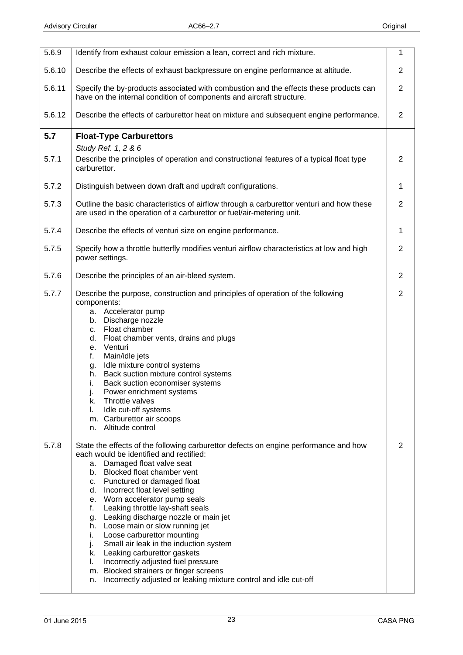<span id="page-22-0"></span>

| 5.6.9  | Identify from exhaust colour emission a lean, correct and rich mixture.                                                                                                                                                                                                                                                                                                                                                                                                                                                                                                                                                                                                                                                   | 1              |
|--------|---------------------------------------------------------------------------------------------------------------------------------------------------------------------------------------------------------------------------------------------------------------------------------------------------------------------------------------------------------------------------------------------------------------------------------------------------------------------------------------------------------------------------------------------------------------------------------------------------------------------------------------------------------------------------------------------------------------------------|----------------|
| 5.6.10 | Describe the effects of exhaust backpressure on engine performance at altitude.                                                                                                                                                                                                                                                                                                                                                                                                                                                                                                                                                                                                                                           | $\overline{2}$ |
| 5.6.11 | Specify the by-products associated with combustion and the effects these products can<br>have on the internal condition of components and aircraft structure.                                                                                                                                                                                                                                                                                                                                                                                                                                                                                                                                                             | $\overline{2}$ |
| 5.6.12 | Describe the effects of carburettor heat on mixture and subsequent engine performance.                                                                                                                                                                                                                                                                                                                                                                                                                                                                                                                                                                                                                                    | $\overline{2}$ |
| 5.7    | <b>Float-Type Carburettors</b>                                                                                                                                                                                                                                                                                                                                                                                                                                                                                                                                                                                                                                                                                            |                |
| 5.7.1  | Study Ref. 1, 2 & 6<br>Describe the principles of operation and constructional features of a typical float type<br>carburettor.                                                                                                                                                                                                                                                                                                                                                                                                                                                                                                                                                                                           | $\overline{2}$ |
| 5.7.2  | Distinguish between down draft and updraft configurations.                                                                                                                                                                                                                                                                                                                                                                                                                                                                                                                                                                                                                                                                | 1              |
| 5.7.3  | Outline the basic characteristics of airflow through a carburettor venturi and how these<br>are used in the operation of a carburettor or fuel/air-metering unit.                                                                                                                                                                                                                                                                                                                                                                                                                                                                                                                                                         | $\overline{2}$ |
| 5.7.4  | Describe the effects of venturi size on engine performance.                                                                                                                                                                                                                                                                                                                                                                                                                                                                                                                                                                                                                                                               | 1              |
| 5.7.5  | Specify how a throttle butterfly modifies venturi airflow characteristics at low and high<br>power settings.                                                                                                                                                                                                                                                                                                                                                                                                                                                                                                                                                                                                              | $\overline{2}$ |
| 5.7.6  | Describe the principles of an air-bleed system.                                                                                                                                                                                                                                                                                                                                                                                                                                                                                                                                                                                                                                                                           | $\overline{2}$ |
| 5.7.7  | Describe the purpose, construction and principles of operation of the following<br>components:<br>Accelerator pump<br>а.<br>Discharge nozzle<br>b.<br>Float chamber<br>C.<br>d.<br>Float chamber vents, drains and plugs<br>Venturi<br>е.<br>f.<br>Main/idle jets<br>Idle mixture control systems<br>g.<br>Back suction mixture control systems<br>h.<br>Back suction economiser systems<br>i.<br>Power enrichment systems<br>j.<br>Throttle valves<br>k.<br>Idle cut-off systems<br>I.<br>m. Carburettor air scoops<br>Altitude control<br>n.                                                                                                                                                                            | $\overline{2}$ |
| 5.7.8  | State the effects of the following carburettor defects on engine performance and how<br>each would be identified and rectified:<br>a. Damaged float valve seat<br>b. Blocked float chamber vent<br>c. Punctured or damaged float<br>d. Incorrect float level setting<br>e. Worn accelerator pump seals<br>Leaking throttle lay-shaft seals<br>f.<br>Leaking discharge nozzle or main jet<br>g.<br>h. Loose main or slow running jet<br>Loose carburettor mounting<br>i.<br>Small air leak in the induction system<br>j.<br>k. Leaking carburettor gaskets<br>Incorrectly adjusted fuel pressure<br>I.<br>m. Blocked strainers or finger screens<br>Incorrectly adjusted or leaking mixture control and idle cut-off<br>n. | 2              |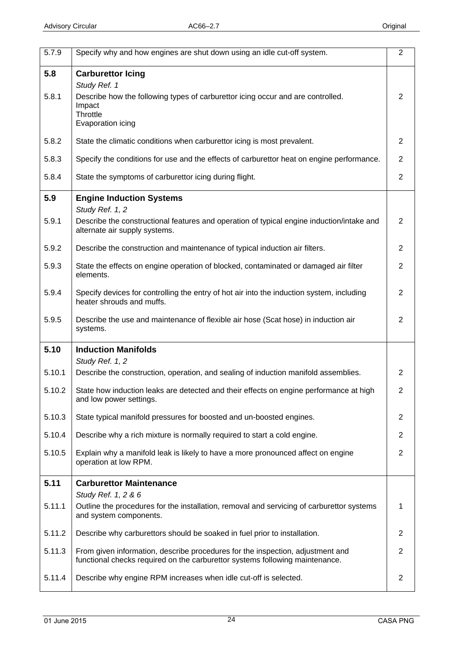<span id="page-23-0"></span>

| 5.7.9  | Specify why and how engines are shut down using an idle cut-off system.                                                                                        | $\overline{2}$ |
|--------|----------------------------------------------------------------------------------------------------------------------------------------------------------------|----------------|
| 5.8    | <b>Carburettor Icing</b>                                                                                                                                       |                |
|        | Study Ref. 1                                                                                                                                                   |                |
| 5.8.1  | Describe how the following types of carburettor icing occur and are controlled.<br>Impact<br>Throttle<br>Evaporation icing                                     | 2              |
| 5.8.2  | State the climatic conditions when carburettor icing is most prevalent.                                                                                        | $\overline{2}$ |
| 5.8.3  | Specify the conditions for use and the effects of carburettor heat on engine performance.                                                                      | $\overline{2}$ |
| 5.8.4  | State the symptoms of carburettor icing during flight.                                                                                                         | $\overline{2}$ |
| 5.9    | <b>Engine Induction Systems</b><br>Study Ref. 1, 2                                                                                                             |                |
| 5.9.1  | Describe the constructional features and operation of typical engine induction/intake and<br>alternate air supply systems.                                     | $\overline{2}$ |
| 5.9.2  | Describe the construction and maintenance of typical induction air filters.                                                                                    | $\overline{2}$ |
| 5.9.3  | State the effects on engine operation of blocked, contaminated or damaged air filter<br>elements.                                                              | $\overline{2}$ |
| 5.9.4  | Specify devices for controlling the entry of hot air into the induction system, including<br>heater shrouds and muffs.                                         | 2              |
| 5.9.5  | Describe the use and maintenance of flexible air hose (Scat hose) in induction air<br>systems.                                                                 | $\overline{2}$ |
| 5.10   | <b>Induction Manifolds</b>                                                                                                                                     |                |
|        | Study Ref. 1, 2                                                                                                                                                |                |
| 5.10.1 | Describe the construction, operation, and sealing of induction manifold assemblies.                                                                            | 2              |
| 5.10.2 | State how induction leaks are detected and their effects on engine performance at high<br>and low power settings.                                              | 2              |
| 5.10.3 | State typical manifold pressures for boosted and un-boosted engines.                                                                                           | $\overline{2}$ |
| 5.10.4 | Describe why a rich mixture is normally required to start a cold engine.                                                                                       | $\overline{2}$ |
| 5.10.5 | Explain why a manifold leak is likely to have a more pronounced affect on engine<br>operation at low RPM.                                                      | $\overline{2}$ |
| 5.11   | <b>Carburettor Maintenance</b>                                                                                                                                 |                |
| 5.11.1 | Study Ref. 1, 2 & 6<br>Outline the procedures for the installation, removal and servicing of carburettor systems<br>and system components.                     | 1              |
| 5.11.2 | Describe why carburettors should be soaked in fuel prior to installation.                                                                                      | $\overline{2}$ |
| 5.11.3 | From given information, describe procedures for the inspection, adjustment and<br>functional checks required on the carburettor systems following maintenance. | $\overline{2}$ |
| 5.11.4 | Describe why engine RPM increases when idle cut-off is selected.                                                                                               | $\overline{c}$ |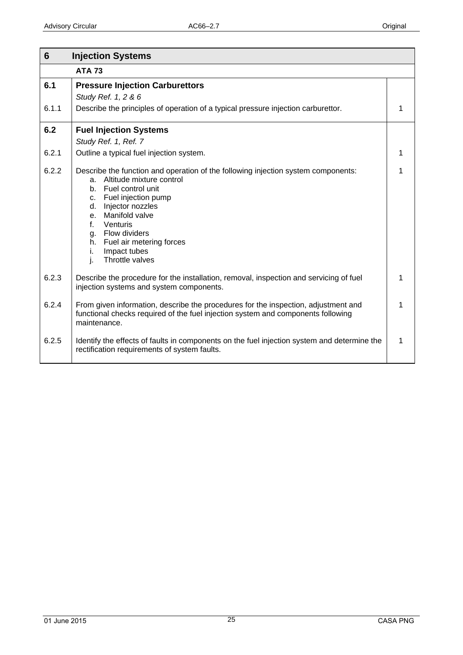<span id="page-24-0"></span>

| 6     | <b>Injection Systems</b>                                                                                                                                                                                                                                                                                                              |  |
|-------|---------------------------------------------------------------------------------------------------------------------------------------------------------------------------------------------------------------------------------------------------------------------------------------------------------------------------------------|--|
|       | <b>ATA 73</b>                                                                                                                                                                                                                                                                                                                         |  |
| 6.1   | <b>Pressure Injection Carburettors</b><br>Study Ref. 1, 2 & 6                                                                                                                                                                                                                                                                         |  |
| 6.1.1 | Describe the principles of operation of a typical pressure injection carburettor.                                                                                                                                                                                                                                                     |  |
| 6.2   | <b>Fuel Injection Systems</b>                                                                                                                                                                                                                                                                                                         |  |
|       | Study Ref. 1, Ref. 7                                                                                                                                                                                                                                                                                                                  |  |
| 6.2.1 | Outline a typical fuel injection system.                                                                                                                                                                                                                                                                                              |  |
| 6.2.2 | Describe the function and operation of the following injection system components:<br>a. Altitude mixture control<br>b. Fuel control unit<br>c. Fuel injection pump<br>Injector nozzles<br>d.<br>e. Manifold valve<br>f.<br>Venturis<br>g. Flow dividers<br>h. Fuel air metering forces<br>Impact tubes<br>i.<br>Throttle valves<br>i. |  |
| 6.2.3 | Describe the procedure for the installation, removal, inspection and servicing of fuel<br>injection systems and system components.                                                                                                                                                                                                    |  |
| 6.2.4 | From given information, describe the procedures for the inspection, adjustment and<br>functional checks required of the fuel injection system and components following<br>maintenance.                                                                                                                                                |  |
| 6.2.5 | Identify the effects of faults in components on the fuel injection system and determine the<br>rectification requirements of system faults.                                                                                                                                                                                           |  |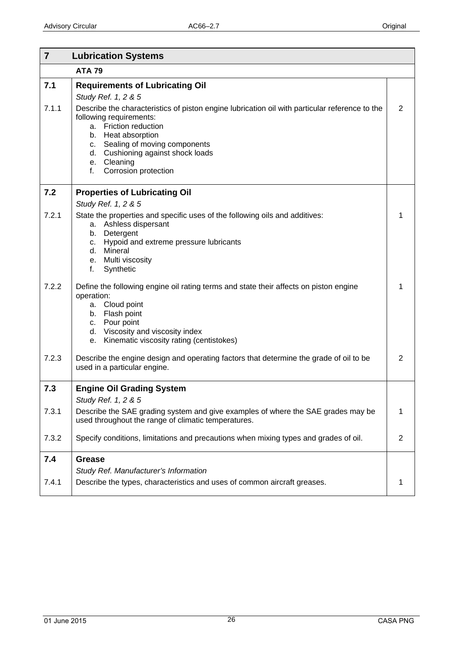<span id="page-25-0"></span>

| $\overline{7}$ | <b>Lubrication Systems</b>                                                                                                                                                                                                                                                                                                                                           |                |
|----------------|----------------------------------------------------------------------------------------------------------------------------------------------------------------------------------------------------------------------------------------------------------------------------------------------------------------------------------------------------------------------|----------------|
|                | <b>ATA 79</b>                                                                                                                                                                                                                                                                                                                                                        |                |
| 7.1<br>7.1.1   | <b>Requirements of Lubricating Oil</b><br>Study Ref. 1, 2 & 5<br>Describe the characteristics of piston engine lubrication oil with particular reference to the<br>following requirements:<br>Friction reduction<br>a.<br>b. Heat absorption<br>Sealing of moving components<br>C.<br>d. Cushioning against shock loads<br>e. Cleaning<br>Corrosion protection<br>f. | $\overline{2}$ |
| 7.2            | <b>Properties of Lubricating Oil</b>                                                                                                                                                                                                                                                                                                                                 |                |
| 7.2.1          | Study Ref. 1, 2 & 5<br>State the properties and specific uses of the following oils and additives:<br>Ashless dispersant<br>a.<br>Detergent<br>b.<br>Hypoid and extreme pressure lubricants<br>С.<br>Mineral<br>d.<br>e. Multi viscosity<br>f.<br>Synthetic                                                                                                          | 1              |
| 7.2.2          | Define the following engine oil rating terms and state their affects on piston engine<br>operation:<br>a. Cloud point<br>b. Flash point<br>Pour point<br>C.<br>d. Viscosity and viscosity index<br>Kinematic viscosity rating (centistokes)<br>е.                                                                                                                    | 1              |
| 7.2.3          | Describe the engine design and operating factors that determine the grade of oil to be<br>used in a particular engine.                                                                                                                                                                                                                                               | 2              |
| 7.3            | <b>Engine Oil Grading System</b>                                                                                                                                                                                                                                                                                                                                     |                |
| 7.3.1          | Study Ref. 1, 2 & 5<br>Describe the SAE grading system and give examples of where the SAE grades may be<br>used throughout the range of climatic temperatures.                                                                                                                                                                                                       | 1              |
| 7.3.2          | Specify conditions, limitations and precautions when mixing types and grades of oil.                                                                                                                                                                                                                                                                                 | $\overline{2}$ |
| 7.4            | <b>Grease</b><br>Study Ref. Manufacturer's Information                                                                                                                                                                                                                                                                                                               |                |
| 7.4.1          | Describe the types, characteristics and uses of common aircraft greases.                                                                                                                                                                                                                                                                                             | 1              |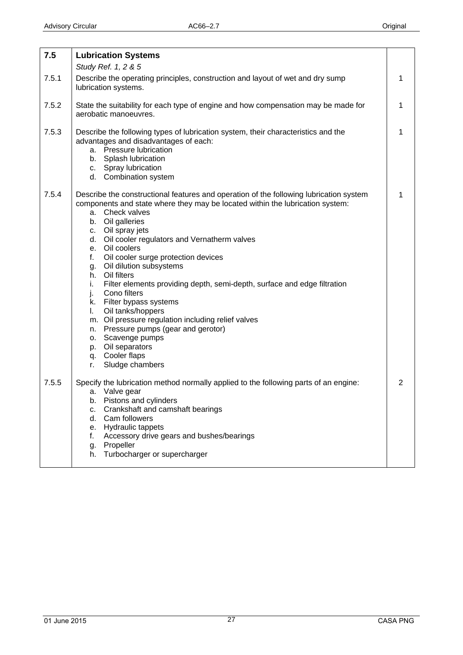<span id="page-26-0"></span>

| 7.5   | <b>Lubrication Systems</b>                                                                                                                                                                                                                                                                                                                                                                                                                                                                                                                                                                                                                                                                                                                                 |   |
|-------|------------------------------------------------------------------------------------------------------------------------------------------------------------------------------------------------------------------------------------------------------------------------------------------------------------------------------------------------------------------------------------------------------------------------------------------------------------------------------------------------------------------------------------------------------------------------------------------------------------------------------------------------------------------------------------------------------------------------------------------------------------|---|
| 7.5.1 | Study Ref. 1, 2 & 5<br>Describe the operating principles, construction and layout of wet and dry sump<br>lubrication systems.                                                                                                                                                                                                                                                                                                                                                                                                                                                                                                                                                                                                                              | 1 |
| 7.5.2 | State the suitability for each type of engine and how compensation may be made for<br>aerobatic manoeuvres.                                                                                                                                                                                                                                                                                                                                                                                                                                                                                                                                                                                                                                                | 1 |
| 7.5.3 | Describe the following types of lubrication system, their characteristics and the<br>advantages and disadvantages of each:<br>a. Pressure lubrication<br>b. Splash lubrication<br>c. Spray lubrication<br>d. Combination system                                                                                                                                                                                                                                                                                                                                                                                                                                                                                                                            | 1 |
| 7.5.4 | Describe the constructional features and operation of the following lubrication system<br>components and state where they may be located within the lubrication system:<br>a. Check valves<br>b. Oil galleries<br>c. Oil spray jets<br>d. Oil cooler regulators and Vernatherm valves<br>e. Oil coolers<br>Oil cooler surge protection devices<br>f.<br>Oil dilution subsystems<br>g.<br>h. Oil filters<br>Filter elements providing depth, semi-depth, surface and edge filtration<br>i.<br>Cono filters<br>j.<br>k. Filter bypass systems<br>Oil tanks/hoppers<br>L.<br>m. Oil pressure regulation including relief valves<br>n. Pressure pumps (gear and gerotor)<br>o. Scavenge pumps<br>p. Oil separators<br>q. Cooler flaps<br>Sludge chambers<br>r. | 1 |
| 7.5.5 | Specify the lubrication method normally applied to the following parts of an engine:<br>a. Valve gear<br>Pistons and cylinders<br>b.<br>Crankshaft and camshaft bearings<br>C.<br>d. Cam followers<br>e. Hydraulic tappets<br>Accessory drive gears and bushes/bearings<br>f.<br>Propeller<br>g.<br>Turbocharger or supercharger<br>h.                                                                                                                                                                                                                                                                                                                                                                                                                     | 2 |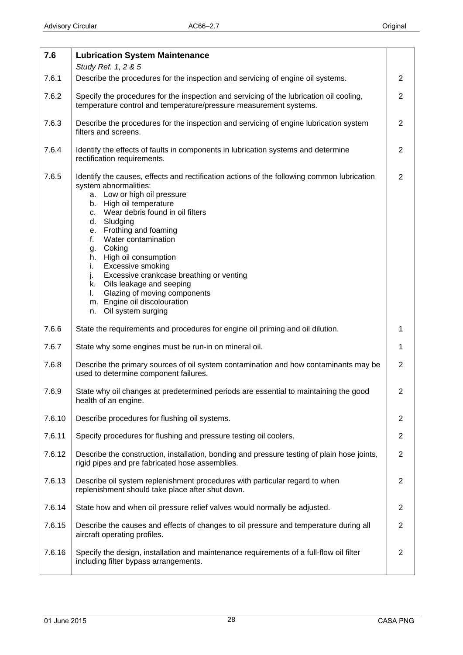<span id="page-27-0"></span>

| 7.6    | <b>Lubrication System Maintenance</b>                                                                                                                                                                                                                                                                                                                                                                                                                                                                                                                         |                |
|--------|---------------------------------------------------------------------------------------------------------------------------------------------------------------------------------------------------------------------------------------------------------------------------------------------------------------------------------------------------------------------------------------------------------------------------------------------------------------------------------------------------------------------------------------------------------------|----------------|
|        | Study Ref. 1, 2 & 5                                                                                                                                                                                                                                                                                                                                                                                                                                                                                                                                           |                |
| 7.6.1  | Describe the procedures for the inspection and servicing of engine oil systems.                                                                                                                                                                                                                                                                                                                                                                                                                                                                               | $\overline{2}$ |
| 7.6.2  | Specify the procedures for the inspection and servicing of the lubrication oil cooling,<br>temperature control and temperature/pressure measurement systems.                                                                                                                                                                                                                                                                                                                                                                                                  | $\overline{2}$ |
| 7.6.3  | Describe the procedures for the inspection and servicing of engine lubrication system<br>filters and screens.                                                                                                                                                                                                                                                                                                                                                                                                                                                 | 2              |
| 7.6.4  | Identify the effects of faults in components in lubrication systems and determine<br>rectification requirements.                                                                                                                                                                                                                                                                                                                                                                                                                                              | $\overline{2}$ |
| 7.6.5  | Identify the causes, effects and rectification actions of the following common lubrication<br>system abnormalities:<br>a. Low or high oil pressure<br>High oil temperature<br>b.<br>c. Wear debris found in oil filters<br>Sludging<br>d.<br>e. Frothing and foaming<br>Water contamination<br>f.<br>Coking<br>g.<br>High oil consumption<br>h.<br>Excessive smoking<br>i.<br>Excessive crankcase breathing or venting<br>j.<br>k. Oils leakage and seeping<br>Glazing of moving components<br>I.<br>m. Engine oil discolouration<br>Oil system surging<br>n. | $\overline{2}$ |
| 7.6.6  | State the requirements and procedures for engine oil priming and oil dilution.                                                                                                                                                                                                                                                                                                                                                                                                                                                                                | 1              |
| 7.6.7  | State why some engines must be run-in on mineral oil.                                                                                                                                                                                                                                                                                                                                                                                                                                                                                                         | $\mathbf 1$    |
| 7.6.8  | Describe the primary sources of oil system contamination and how contaminants may be<br>used to determine component failures.                                                                                                                                                                                                                                                                                                                                                                                                                                 | $\overline{2}$ |
| 7.6.9  | State why oil changes at predetermined periods are essential to maintaining the good<br>health of an engine.                                                                                                                                                                                                                                                                                                                                                                                                                                                  | 2              |
| 7.6.10 | Describe procedures for flushing oil systems.                                                                                                                                                                                                                                                                                                                                                                                                                                                                                                                 | 2              |
| 7.6.11 | Specify procedures for flushing and pressure testing oil coolers.                                                                                                                                                                                                                                                                                                                                                                                                                                                                                             | $\overline{2}$ |
| 7.6.12 | Describe the construction, installation, bonding and pressure testing of plain hose joints,<br>rigid pipes and pre fabricated hose assemblies.                                                                                                                                                                                                                                                                                                                                                                                                                | $\overline{2}$ |
| 7.6.13 | Describe oil system replenishment procedures with particular regard to when<br>replenishment should take place after shut down.                                                                                                                                                                                                                                                                                                                                                                                                                               | 2              |
| 7.6.14 | State how and when oil pressure relief valves would normally be adjusted.                                                                                                                                                                                                                                                                                                                                                                                                                                                                                     | $\overline{2}$ |
| 7.6.15 | Describe the causes and effects of changes to oil pressure and temperature during all<br>aircraft operating profiles.                                                                                                                                                                                                                                                                                                                                                                                                                                         | $\overline{2}$ |
| 7.6.16 | Specify the design, installation and maintenance requirements of a full-flow oil filter<br>including filter bypass arrangements.                                                                                                                                                                                                                                                                                                                                                                                                                              | 2              |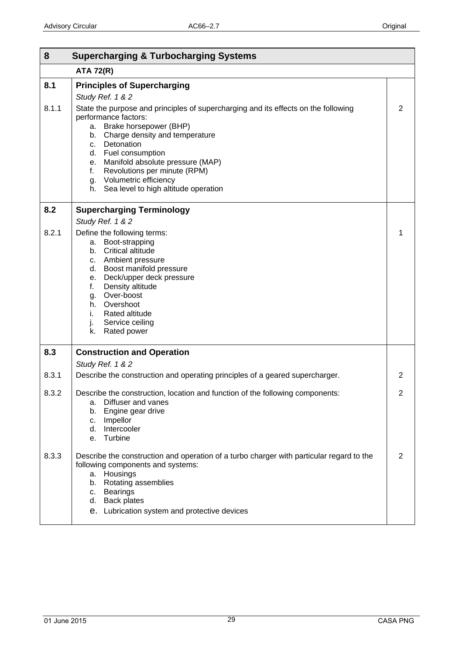<span id="page-28-0"></span>

| 8            | <b>Supercharging &amp; Turbocharging Systems</b>                                                                                                                                                                                                                                                                                                                                                                                         |   |
|--------------|------------------------------------------------------------------------------------------------------------------------------------------------------------------------------------------------------------------------------------------------------------------------------------------------------------------------------------------------------------------------------------------------------------------------------------------|---|
|              | <b>ATA 72(R)</b>                                                                                                                                                                                                                                                                                                                                                                                                                         |   |
| 8.1<br>8.1.1 | <b>Principles of Supercharging</b><br>Study Ref. 1 & 2<br>State the purpose and principles of supercharging and its effects on the following<br>performance factors:<br>Brake horsepower (BHP)<br>a.<br>Charge density and temperature<br>b.<br>c. Detonation<br>d. Fuel consumption<br>e. Manifold absolute pressure (MAP)<br>Revolutions per minute (RPM)<br>f.<br>g. Volumetric efficiency<br>h. Sea level to high altitude operation | 2 |
| 8.2          | <b>Supercharging Terminology</b><br>Study Ref. 1 & 2                                                                                                                                                                                                                                                                                                                                                                                     |   |
| 8.2.1        | Define the following terms:<br>Boot-strapping<br>а.<br><b>Critical altitude</b><br>b.<br>c. Ambient pressure<br>Boost manifold pressure<br>d.<br>Deck/upper deck pressure<br>е.<br>Density altitude<br>f.<br>Over-boost<br>g.<br>Overshoot<br>h.<br>Rated altitude<br>i.<br>j.<br>Service ceiling<br>Rated power<br>k.                                                                                                                   |   |
| 8.3          | <b>Construction and Operation</b><br>Study Ref. 1 & 2                                                                                                                                                                                                                                                                                                                                                                                    |   |
| 8.3.1        | Describe the construction and operating principles of a geared supercharger.                                                                                                                                                                                                                                                                                                                                                             | 2 |
| 8.3.2        | Describe the construction, location and function of the following components:<br>Diffuser and vanes<br>а.<br>Engine gear drive<br>b.<br>Impellor<br>c.<br>Intercooler<br>d.<br>Turbine<br>e.                                                                                                                                                                                                                                             |   |
| 8.3.3        | Describe the construction and operation of a turbo charger with particular regard to the<br>following components and systems:<br>a. Housings<br>Rotating assemblies<br>b.<br><b>Bearings</b><br>C.<br>d. Back plates<br>e. Lubrication system and protective devices                                                                                                                                                                     | 2 |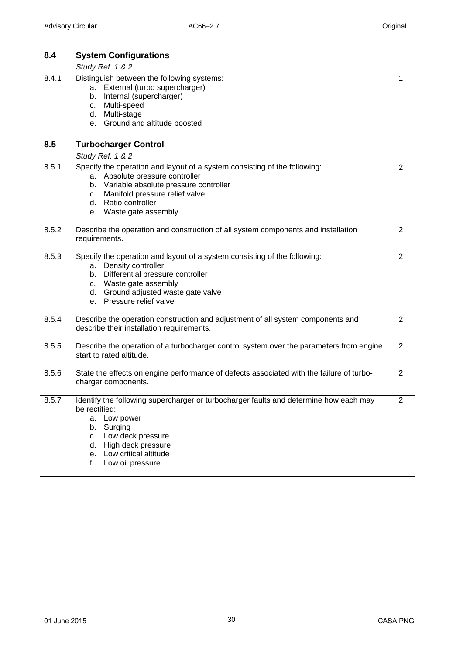<span id="page-29-0"></span>

| 8.4   | <b>System Configurations</b>                                                                                                                                                                                                                            |                |
|-------|---------------------------------------------------------------------------------------------------------------------------------------------------------------------------------------------------------------------------------------------------------|----------------|
|       | Study Ref. 1 & 2                                                                                                                                                                                                                                        |                |
| 8.4.1 | Distinguish between the following systems:<br>a. External (turbo supercharger)<br>b. Internal (supercharger)<br>c. Multi-speed<br>d. Multi-stage<br>e. Ground and altitude boosted                                                                      |                |
| 8.5   | <b>Turbocharger Control</b>                                                                                                                                                                                                                             |                |
|       | Study Ref. 1 & 2                                                                                                                                                                                                                                        |                |
| 8.5.1 | Specify the operation and layout of a system consisting of the following:<br>a. Absolute pressure controller<br>b. Variable absolute pressure controller<br>c. Manifold pressure relief valve<br>d. Ratio controller<br>e. Waste gate assembly          | 2              |
| 8.5.2 | Describe the operation and construction of all system components and installation<br>requirements.                                                                                                                                                      | 2              |
| 8.5.3 | Specify the operation and layout of a system consisting of the following:<br>a. Density controller<br>b. Differential pressure controller<br>c. Waste gate assembly<br>d. Ground adjusted waste gate valve<br>e. Pressure relief valve                  | $\overline{2}$ |
| 8.5.4 | Describe the operation construction and adjustment of all system components and<br>describe their installation requirements.                                                                                                                            | 2              |
| 8.5.5 | Describe the operation of a turbocharger control system over the parameters from engine<br>start to rated altitude.                                                                                                                                     | 2              |
| 8.5.6 | State the effects on engine performance of defects associated with the failure of turbo-<br>charger components.                                                                                                                                         | 2              |
| 8.5.7 | Identify the following supercharger or turbocharger faults and determine how each may<br>be rectified:<br>Low power<br>a.<br>Surging<br>b.<br>Low deck pressure<br>C.<br>High deck pressure<br>d.<br>e. Low critical altitude<br>Low oil pressure<br>f. | $\overline{2}$ |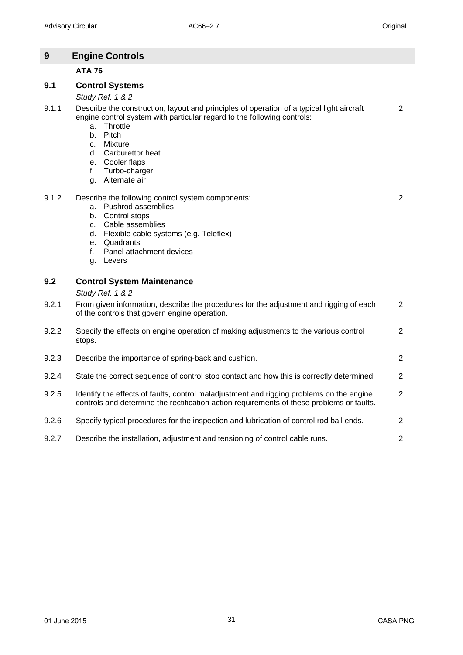<span id="page-30-0"></span>

| 9     | <b>Engine Controls</b>                                                                                                                                                                                                                                                                                      |                |
|-------|-------------------------------------------------------------------------------------------------------------------------------------------------------------------------------------------------------------------------------------------------------------------------------------------------------------|----------------|
|       | <b>ATA 76</b>                                                                                                                                                                                                                                                                                               |                |
| 9.1   | <b>Control Systems</b><br>Study Ref. 1 & 2                                                                                                                                                                                                                                                                  |                |
| 9.1.1 | Describe the construction, layout and principles of operation of a typical light aircraft<br>engine control system with particular regard to the following controls:<br>Throttle<br>a.<br>Pitch<br>b.<br>c. Mixture<br>d. Carburettor heat<br>e. Cooler flaps<br>f.<br>Turbo-charger<br>Alternate air<br>g. | 2              |
| 9.1.2 | Describe the following control system components:<br>Pushrod assemblies<br>а.<br>Control stops<br>b.<br>Cable assemblies<br>C.<br>Flexible cable systems (e.g. Teleflex)<br>d.<br>Quadrants<br>e.<br>Panel attachment devices<br>f.<br>Levers<br>g.                                                         | 2              |
| 9.2   | <b>Control System Maintenance</b><br>Study Ref. 1 & 2                                                                                                                                                                                                                                                       |                |
| 9.2.1 | From given information, describe the procedures for the adjustment and rigging of each<br>of the controls that govern engine operation.                                                                                                                                                                     | 2              |
| 9.2.2 | Specify the effects on engine operation of making adjustments to the various control<br>stops.                                                                                                                                                                                                              | $\overline{2}$ |
| 9.2.3 | Describe the importance of spring-back and cushion.                                                                                                                                                                                                                                                         | 2              |
| 9.2.4 | State the correct sequence of control stop contact and how this is correctly determined.                                                                                                                                                                                                                    | 2              |
| 9.2.5 | Identify the effects of faults, control maladjustment and rigging problems on the engine<br>controls and determine the rectification action requirements of these problems or faults.                                                                                                                       | 2              |
| 9.2.6 | Specify typical procedures for the inspection and lubrication of control rod ball ends.                                                                                                                                                                                                                     | 2              |
| 9.2.7 | Describe the installation, adjustment and tensioning of control cable runs.                                                                                                                                                                                                                                 | $\overline{2}$ |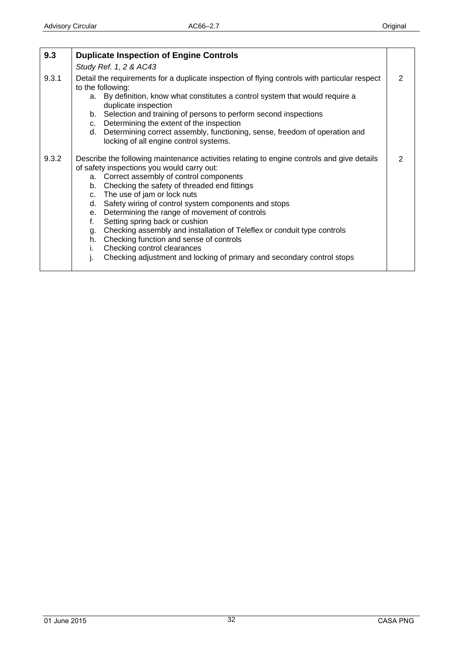<span id="page-31-0"></span>

| 9.3   | <b>Duplicate Inspection of Engine Controls</b>                                                                                                                                                      |               |
|-------|-----------------------------------------------------------------------------------------------------------------------------------------------------------------------------------------------------|---------------|
|       | Study Ref. 1, 2 & AC43                                                                                                                                                                              |               |
| 9.3.1 | Detail the requirements for a duplicate inspection of flying controls with particular respect<br>to the following:<br>a. By definition, know what constitutes a control system that would require a | $\mathcal{P}$ |
|       | duplicate inspection                                                                                                                                                                                |               |
|       | b. Selection and training of persons to perform second inspections<br>c. Determining the extent of the inspection                                                                                   |               |
|       | d. Determining correct assembly, functioning, sense, freedom of operation and<br>locking of all engine control systems.                                                                             |               |
| 9.3.2 | Describe the following maintenance activities relating to engine controls and give details<br>of safety inspections you would carry out:                                                            | $\mathcal{P}$ |
|       | a. Correct assembly of control components                                                                                                                                                           |               |
|       | b. Checking the safety of threaded end fittings                                                                                                                                                     |               |
|       | c. The use of jam or lock nuts                                                                                                                                                                      |               |
|       | Safety wiring of control system components and stops<br>d.                                                                                                                                          |               |
|       | e. Determining the range of movement of controls<br>Setting spring back or cushion                                                                                                                  |               |
|       | f.<br>Checking assembly and installation of Teleflex or conduit type controls<br>g.                                                                                                                 |               |
|       | h. Checking function and sense of controls                                                                                                                                                          |               |
|       | Checking control clearances<br>i.                                                                                                                                                                   |               |
|       | Checking adjustment and locking of primary and secondary control stops<br>j.                                                                                                                        |               |
|       |                                                                                                                                                                                                     |               |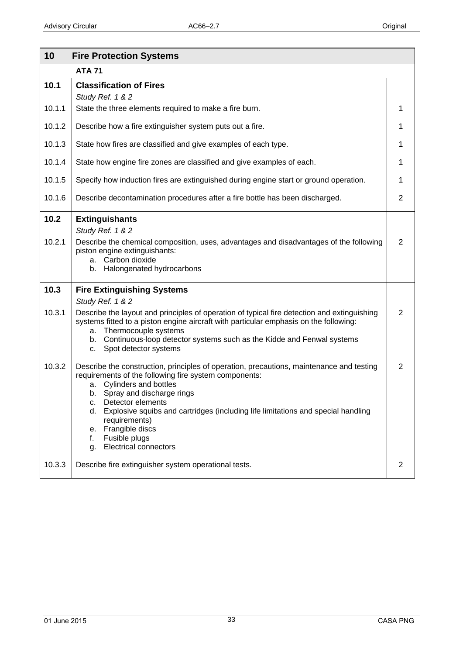<span id="page-32-0"></span>

| 10             | <b>Fire Protection Systems</b>                                                                                                                                                                                                                                                                                                                                                                                                               |                |
|----------------|----------------------------------------------------------------------------------------------------------------------------------------------------------------------------------------------------------------------------------------------------------------------------------------------------------------------------------------------------------------------------------------------------------------------------------------------|----------------|
|                | <b>ATA 71</b>                                                                                                                                                                                                                                                                                                                                                                                                                                |                |
| 10.1           | <b>Classification of Fires</b><br>Study Ref. 1 & 2                                                                                                                                                                                                                                                                                                                                                                                           |                |
| 10.1.1         | State the three elements required to make a fire burn.                                                                                                                                                                                                                                                                                                                                                                                       | 1              |
| 10.1.2         | Describe how a fire extinguisher system puts out a fire.                                                                                                                                                                                                                                                                                                                                                                                     | 1              |
| 10.1.3         | State how fires are classified and give examples of each type.                                                                                                                                                                                                                                                                                                                                                                               | 1              |
| 10.1.4         | State how engine fire zones are classified and give examples of each.                                                                                                                                                                                                                                                                                                                                                                        | 1              |
| 10.1.5         | Specify how induction fires are extinguished during engine start or ground operation.                                                                                                                                                                                                                                                                                                                                                        | 1              |
| 10.1.6         | Describe decontamination procedures after a fire bottle has been discharged.                                                                                                                                                                                                                                                                                                                                                                 | $\overline{2}$ |
| 10.2<br>10.2.1 | <b>Extinguishants</b><br>Study Ref. 1 & 2<br>Describe the chemical composition, uses, advantages and disadvantages of the following<br>piston engine extinguishants:<br>a. Carbon dioxide<br>Halongenated hydrocarbons<br>b.                                                                                                                                                                                                                 | $\overline{2}$ |
| 10.3           | <b>Fire Extinguishing Systems</b><br>Study Ref. 1 & 2                                                                                                                                                                                                                                                                                                                                                                                        |                |
| 10.3.1         | Describe the layout and principles of operation of typical fire detection and extinguishing<br>systems fitted to a piston engine aircraft with particular emphasis on the following:<br>Thermocouple systems<br>a.<br>Continuous-loop detector systems such as the Kidde and Fenwal systems<br>b.<br>Spot detector systems<br>c.                                                                                                             | $\overline{2}$ |
| 10.3.2         | Describe the construction, principles of operation, precautions, maintenance and testing<br>requirements of the following fire system components:<br>Cylinders and bottles<br>а.<br>b. Spray and discharge rings<br>Detector elements<br>с.<br>Explosive squibs and cartridges (including life limitations and special handling<br>d.<br>requirements)<br>Frangible discs<br>е.<br>Fusible plugs<br>f.<br><b>Electrical connectors</b><br>g. | $\overline{2}$ |
| 10.3.3         | Describe fire extinguisher system operational tests.                                                                                                                                                                                                                                                                                                                                                                                         | 2              |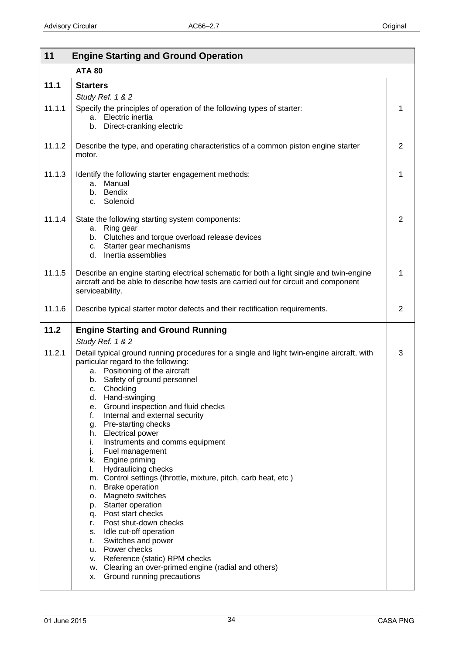<span id="page-33-0"></span>

| 11<br><b>Engine Starting and Ground Operation</b> |                                                                                                                                                                                                                                                                                                                                                                                                                                                                                                                                                                                                                                                                                                                                                                                                                                                                                                                                                           |   |
|---------------------------------------------------|-----------------------------------------------------------------------------------------------------------------------------------------------------------------------------------------------------------------------------------------------------------------------------------------------------------------------------------------------------------------------------------------------------------------------------------------------------------------------------------------------------------------------------------------------------------------------------------------------------------------------------------------------------------------------------------------------------------------------------------------------------------------------------------------------------------------------------------------------------------------------------------------------------------------------------------------------------------|---|
|                                                   | <b>ATA 80</b>                                                                                                                                                                                                                                                                                                                                                                                                                                                                                                                                                                                                                                                                                                                                                                                                                                                                                                                                             |   |
| 11.1                                              | <b>Starters</b><br>Study Ref. 1 & 2                                                                                                                                                                                                                                                                                                                                                                                                                                                                                                                                                                                                                                                                                                                                                                                                                                                                                                                       |   |
| 11.1.1                                            | Specify the principles of operation of the following types of starter:<br>Electric inertia<br>a.<br>Direct-cranking electric<br>b.                                                                                                                                                                                                                                                                                                                                                                                                                                                                                                                                                                                                                                                                                                                                                                                                                        | 1 |
| 11.1.2                                            | Describe the type, and operating characteristics of a common piston engine starter<br>motor.                                                                                                                                                                                                                                                                                                                                                                                                                                                                                                                                                                                                                                                                                                                                                                                                                                                              | 2 |
| 11.1.3                                            | Identify the following starter engagement methods:<br>Manual<br>a.<br>b. Bendix<br>c. Solenoid                                                                                                                                                                                                                                                                                                                                                                                                                                                                                                                                                                                                                                                                                                                                                                                                                                                            | 1 |
| 11.1.4                                            | State the following starting system components:<br>a. Ring gear<br>b. Clutches and torque overload release devices<br>c. Starter gear mechanisms<br>d. Inertia assemblies                                                                                                                                                                                                                                                                                                                                                                                                                                                                                                                                                                                                                                                                                                                                                                                 | 2 |
| 11.1.5                                            | Describe an engine starting electrical schematic for both a light single and twin-engine<br>aircraft and be able to describe how tests are carried out for circuit and component<br>serviceability.                                                                                                                                                                                                                                                                                                                                                                                                                                                                                                                                                                                                                                                                                                                                                       | 1 |
| 11.1.6                                            | Describe typical starter motor defects and their rectification requirements.                                                                                                                                                                                                                                                                                                                                                                                                                                                                                                                                                                                                                                                                                                                                                                                                                                                                              | 2 |
| 11.2                                              | <b>Engine Starting and Ground Running</b>                                                                                                                                                                                                                                                                                                                                                                                                                                                                                                                                                                                                                                                                                                                                                                                                                                                                                                                 |   |
| 11.2.1                                            | Study Ref. 1 & 2<br>Detail typical ground running procedures for a single and light twin-engine aircraft, with<br>particular regard to the following:<br>a. Positioning of the aircraft<br>Safety of ground personnel<br>b.<br>c. Chocking<br>Hand-swinging<br>d.<br>Ground inspection and fluid checks<br>е.<br>f.<br>Internal and external security<br>Pre-starting checks<br>g.<br>h. Electrical power<br>Instruments and comms equipment<br>i.<br>j.<br>Fuel management<br>k. Engine priming<br><b>Hydraulicing checks</b><br>I.<br>m. Control settings (throttle, mixture, pitch, carb heat, etc)<br><b>Brake operation</b><br>n.<br>Magneto switches<br>0.<br>p. Starter operation<br>q. Post start checks<br>Post shut-down checks<br>r.<br>s. Idle cut-off operation<br>Switches and power<br>t.<br>u. Power checks<br>v. Reference (static) RPM checks<br>w. Clearing an over-primed engine (radial and others)<br>x. Ground running precautions | 3 |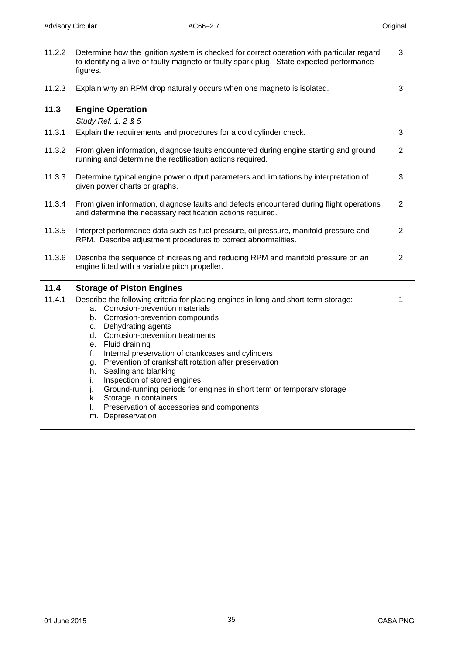<span id="page-34-0"></span>

| 11.2.2 | Determine how the ignition system is checked for correct operation with particular regard<br>to identifying a live or faulty magneto or faulty spark plug. State expected performance<br>figures.                                                                                                                                                                                                                                                                                                                                                                                                                                     | 3              |
|--------|---------------------------------------------------------------------------------------------------------------------------------------------------------------------------------------------------------------------------------------------------------------------------------------------------------------------------------------------------------------------------------------------------------------------------------------------------------------------------------------------------------------------------------------------------------------------------------------------------------------------------------------|----------------|
| 11.2.3 | Explain why an RPM drop naturally occurs when one magneto is isolated.                                                                                                                                                                                                                                                                                                                                                                                                                                                                                                                                                                | 3              |
| 11.3   | <b>Engine Operation</b>                                                                                                                                                                                                                                                                                                                                                                                                                                                                                                                                                                                                               |                |
|        | Study Ref. 1, 2 & 5                                                                                                                                                                                                                                                                                                                                                                                                                                                                                                                                                                                                                   |                |
| 11.3.1 | Explain the requirements and procedures for a cold cylinder check.                                                                                                                                                                                                                                                                                                                                                                                                                                                                                                                                                                    | 3              |
| 11.3.2 | From given information, diagnose faults encountered during engine starting and ground<br>running and determine the rectification actions required.                                                                                                                                                                                                                                                                                                                                                                                                                                                                                    | $\overline{2}$ |
| 11.3.3 | Determine typical engine power output parameters and limitations by interpretation of<br>given power charts or graphs.                                                                                                                                                                                                                                                                                                                                                                                                                                                                                                                | 3              |
| 11.3.4 | From given information, diagnose faults and defects encountered during flight operations<br>and determine the necessary rectification actions required.                                                                                                                                                                                                                                                                                                                                                                                                                                                                               | $\overline{2}$ |
| 11.3.5 | Interpret performance data such as fuel pressure, oil pressure, manifold pressure and<br>RPM. Describe adjustment procedures to correct abnormalities.                                                                                                                                                                                                                                                                                                                                                                                                                                                                                | $\overline{2}$ |
| 11.3.6 | Describe the sequence of increasing and reducing RPM and manifold pressure on an<br>engine fitted with a variable pitch propeller.                                                                                                                                                                                                                                                                                                                                                                                                                                                                                                    | $\overline{2}$ |
| 11.4   | <b>Storage of Piston Engines</b>                                                                                                                                                                                                                                                                                                                                                                                                                                                                                                                                                                                                      |                |
| 11.4.1 | Describe the following criteria for placing engines in long and short-term storage:<br>a. Corrosion-prevention materials<br>b. Corrosion-prevention compounds<br>Dehydrating agents<br>C.<br>d. Corrosion-prevention treatments<br>e. Fluid draining<br>Internal preservation of crankcases and cylinders<br>f.<br>Prevention of crankshaft rotation after preservation<br>g.<br>Sealing and blanking<br>h.<br>Inspection of stored engines<br>i.<br>Ground-running periods for engines in short term or temporary storage<br>j.<br>k. Storage in containers<br>Preservation of accessories and components<br>I.<br>m. Depreservation |                |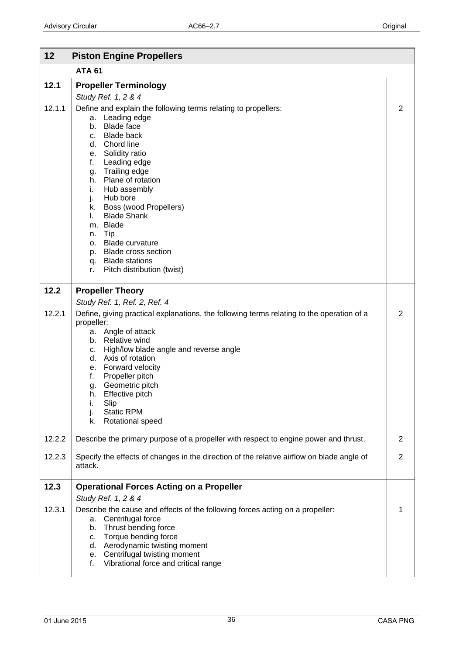<span id="page-35-0"></span>

| 12     | <b>Piston Engine Propellers</b>                                                                                                                                                                                                                                                                                                                                                                                                                                                                          |                |
|--------|----------------------------------------------------------------------------------------------------------------------------------------------------------------------------------------------------------------------------------------------------------------------------------------------------------------------------------------------------------------------------------------------------------------------------------------------------------------------------------------------------------|----------------|
|        | <b>ATA 61</b>                                                                                                                                                                                                                                                                                                                                                                                                                                                                                            |                |
| 12.1   | <b>Propeller Terminology</b>                                                                                                                                                                                                                                                                                                                                                                                                                                                                             |                |
|        | Study Ref. 1, 2 & 4                                                                                                                                                                                                                                                                                                                                                                                                                                                                                      |                |
| 12.1.1 | Define and explain the following terms relating to propellers:<br>Leading edge<br>a.<br><b>Blade face</b><br>b.<br><b>Blade back</b><br>C.<br>d. Chord line<br>e. Solidity ratio<br>Leading edge<br>f.<br>Trailing edge<br>g.<br>Plane of rotation<br>h.<br>i.<br>Hub assembly<br>j.<br>Hub bore<br>Boss (wood Propellers)<br>k.<br><b>Blade Shank</b><br>L.<br>m. Blade<br>Tip<br>n.<br><b>Blade curvature</b><br>0.<br>p. Blade cross section<br>q. Blade stations<br>Pitch distribution (twist)<br>r. | $\overline{2}$ |
| 12.2   | <b>Propeller Theory</b>                                                                                                                                                                                                                                                                                                                                                                                                                                                                                  |                |
|        | Study Ref. 1, Ref. 2, Ref. 4                                                                                                                                                                                                                                                                                                                                                                                                                                                                             |                |
| 12.2.1 | Define, giving practical explanations, the following terms relating to the operation of a<br>propeller:<br>Angle of attack<br>а.<br>b. Relative wind<br>High/low blade angle and reverse angle<br>c.<br>d. Axis of rotation<br>e. Forward velocity<br>Propeller pitch<br>f.<br>Geometric pitch<br>g.<br>Effective pitch<br>h.<br>Slip<br>i.<br>j.<br><b>Static RPM</b><br>Rotational speed<br>k.                                                                                                         | $\overline{2}$ |
| 12.2.2 | Describe the primary purpose of a propeller with respect to engine power and thrust.                                                                                                                                                                                                                                                                                                                                                                                                                     | $\overline{2}$ |
| 12.2.3 | Specify the effects of changes in the direction of the relative airflow on blade angle of<br>attack.                                                                                                                                                                                                                                                                                                                                                                                                     | $\overline{2}$ |
| 12.3   | <b>Operational Forces Acting on a Propeller</b>                                                                                                                                                                                                                                                                                                                                                                                                                                                          |                |
| 12.3.1 | Study Ref. 1, 2 & 4<br>Describe the cause and effects of the following forces acting on a propeller:<br>a. Centrifugal force<br>Thrust bending force<br>b.<br>Torque bending force<br>c.<br>d. Aerodynamic twisting moment<br>e. Centrifugal twisting moment<br>Vibrational force and critical range<br>f.                                                                                                                                                                                               | 1              |
|        |                                                                                                                                                                                                                                                                                                                                                                                                                                                                                                          |                |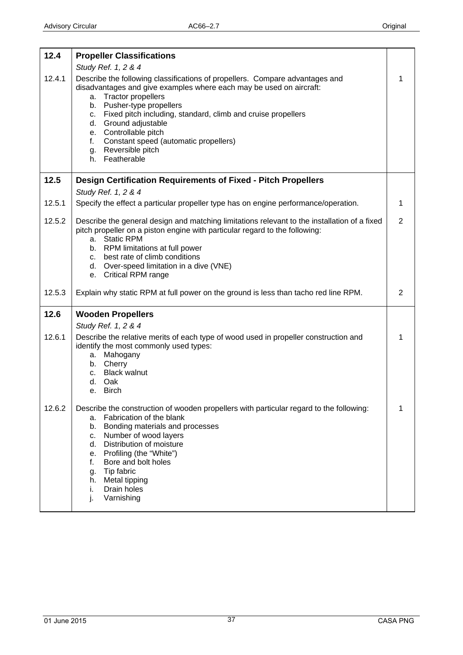<span id="page-36-0"></span>

| 12.4   | <b>Propeller Classifications</b>                                                                                                                                                                                                                                                                                                                                                                                                            |                |
|--------|---------------------------------------------------------------------------------------------------------------------------------------------------------------------------------------------------------------------------------------------------------------------------------------------------------------------------------------------------------------------------------------------------------------------------------------------|----------------|
|        | Study Ref. 1, 2 & 4                                                                                                                                                                                                                                                                                                                                                                                                                         |                |
| 12.4.1 | Describe the following classifications of propellers. Compare advantages and<br>disadvantages and give examples where each may be used on aircraft:<br><b>Tractor propellers</b><br>a.<br>b. Pusher-type propellers<br>c. Fixed pitch including, standard, climb and cruise propellers<br>d. Ground adjustable<br>e. Controllable pitch<br>Constant speed (automatic propellers)<br>$f_{\rm{max}}$<br>g. Reversible pitch<br>h. Featherable |                |
| 12.5   | <b>Design Certification Requirements of Fixed - Pitch Propellers</b>                                                                                                                                                                                                                                                                                                                                                                        |                |
|        | Study Ref. 1, 2 & 4                                                                                                                                                                                                                                                                                                                                                                                                                         |                |
| 12.5.1 | Specify the effect a particular propeller type has on engine performance/operation.                                                                                                                                                                                                                                                                                                                                                         | 1              |
| 12.5.2 | Describe the general design and matching limitations relevant to the installation of a fixed<br>pitch propeller on a piston engine with particular regard to the following:<br>a. Static RPM<br>b. RPM limitations at full power<br>c. best rate of climb conditions<br>d. Over-speed limitation in a dive (VNE)                                                                                                                            | $\overline{2}$ |
|        | e. Critical RPM range                                                                                                                                                                                                                                                                                                                                                                                                                       |                |
| 12.5.3 | Explain why static RPM at full power on the ground is less than tacho red line RPM.                                                                                                                                                                                                                                                                                                                                                         | 2              |
| 12.6   | <b>Wooden Propellers</b>                                                                                                                                                                                                                                                                                                                                                                                                                    |                |
|        | Study Ref. 1, 2 & 4                                                                                                                                                                                                                                                                                                                                                                                                                         |                |
| 12.6.1 | Describe the relative merits of each type of wood used in propeller construction and<br>identify the most commonly used types:<br>a. Mahogany<br>b. Cherry<br>c. Black walnut<br>d. Oak<br>e. Birch                                                                                                                                                                                                                                         |                |
| 12.6.2 | Describe the construction of wooden propellers with particular regard to the following:<br>Fabrication of the blank<br>a.<br>Bonding materials and processes<br>b.<br>Number of wood layers<br>c.<br>Distribution of moisture<br>d.<br>e. Profiling (the "White")<br>Bore and bolt holes<br>f.<br>Tip fabric<br>g.<br>Metal tipping<br>h.<br>Drain holes<br>i.<br>Varnishing<br>j.                                                          |                |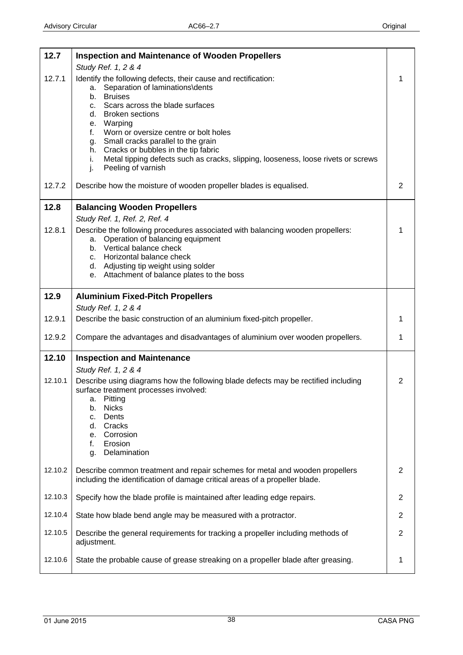<span id="page-37-0"></span>

| 12.7    | <b>Inspection and Maintenance of Wooden Propellers</b>                                                                                                             |                |
|---------|--------------------------------------------------------------------------------------------------------------------------------------------------------------------|----------------|
| 12.7.1  | Study Ref. 1, 2 & 4<br>Identify the following defects, their cause and rectification:                                                                              | 1              |
|         | Separation of laminations\dents<br>а.<br><b>Bruises</b>                                                                                                            |                |
|         | b.<br>Scars across the blade surfaces<br>C.                                                                                                                        |                |
|         | <b>Broken sections</b><br>d.<br>Warping<br>е.                                                                                                                      |                |
|         | Worn or oversize centre or bolt holes<br>f.<br>Small cracks parallel to the grain<br>g.                                                                            |                |
|         | h. Cracks or bubbles in the tip fabric                                                                                                                             |                |
|         | Metal tipping defects such as cracks, slipping, looseness, loose rivets or screws<br>i.<br>j.<br>Peeling of varnish                                                |                |
| 12.7.2  | Describe how the moisture of wooden propeller blades is equalised.                                                                                                 | $\overline{2}$ |
| 12.8    | <b>Balancing Wooden Propellers</b>                                                                                                                                 |                |
| 12.8.1  | Study Ref. 1, Ref. 2, Ref. 4<br>Describe the following procedures associated with balancing wooden propellers:                                                     | 1              |
|         | Operation of balancing equipment<br>а.<br>b. Vertical balance check                                                                                                |                |
|         | c. Horizontal balance check                                                                                                                                        |                |
|         | d. Adjusting tip weight using solder<br>e. Attachment of balance plates to the boss                                                                                |                |
|         |                                                                                                                                                                    |                |
| 12.9    | <b>Aluminium Fixed-Pitch Propellers</b><br>Study Ref. 1, 2 & 4                                                                                                     |                |
| 12.9.1  | Describe the basic construction of an aluminium fixed-pitch propeller.                                                                                             | 1              |
| 12.9.2  | Compare the advantages and disadvantages of aluminium over wooden propellers.                                                                                      | 1              |
| 12.10   | <b>Inspection and Maintenance</b>                                                                                                                                  |                |
|         | Study Ref. 1, 2 & 4                                                                                                                                                |                |
| 12.10.1 | Describe using diagrams how the following blade defects may be rectified including<br>surface treatment processes involved:<br>Pitting<br>а.<br><b>Nicks</b><br>b. | $\overline{2}$ |
|         | Dents<br>c.<br>Cracks<br>d.                                                                                                                                        |                |
|         | Corrosion<br>е.                                                                                                                                                    |                |
|         | Erosion<br>f.<br>Delamination<br>g.                                                                                                                                |                |
| 12.10.2 | Describe common treatment and repair schemes for metal and wooden propellers<br>including the identification of damage critical areas of a propeller blade.        | $\overline{2}$ |
| 12.10.3 | Specify how the blade profile is maintained after leading edge repairs.                                                                                            | $\overline{2}$ |
| 12.10.4 | State how blade bend angle may be measured with a protractor.                                                                                                      | $\overline{2}$ |
| 12.10.5 | Describe the general requirements for tracking a propeller including methods of<br>adjustment.                                                                     | $\mathbf{2}$   |
| 12.10.6 | State the probable cause of grease streaking on a propeller blade after greasing.                                                                                  | 1              |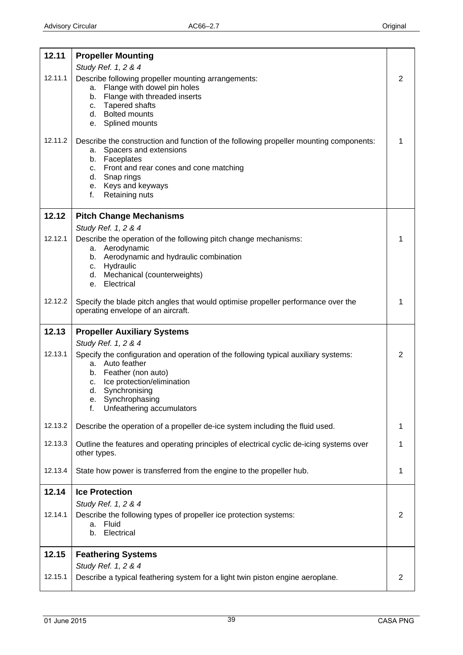<span id="page-38-0"></span>

| 12.11   | <b>Propeller Mounting</b>                                                                              |   |
|---------|--------------------------------------------------------------------------------------------------------|---|
|         | Study Ref. 1, 2 & 4                                                                                    |   |
| 12.11.1 | Describe following propeller mounting arrangements:<br>Flange with dowel pin holes<br>a.               | 2 |
|         | b. Flange with threaded inserts                                                                        |   |
|         | c. Tapered shafts<br>d. Bolted mounts                                                                  |   |
|         | e. Splined mounts                                                                                      |   |
| 12.11.2 | Describe the construction and function of the following propeller mounting components:                 | 1 |
|         | Spacers and extensions<br>а.<br>b. Faceplates                                                          |   |
|         | c. Front and rear cones and cone matching                                                              |   |
|         | d. Snap rings<br>e. Keys and keyways                                                                   |   |
|         | f.<br>Retaining nuts                                                                                   |   |
| 12.12   | <b>Pitch Change Mechanisms</b>                                                                         |   |
|         | Study Ref. 1, 2 & 4                                                                                    |   |
| 12.12.1 | Describe the operation of the following pitch change mechanisms:                                       | 1 |
|         | Aerodynamic<br>а.<br>b. Aerodynamic and hydraulic combination                                          |   |
|         | c. Hydraulic<br>d. Mechanical (counterweights)                                                         |   |
|         | e. Electrical                                                                                          |   |
| 12.12.2 | Specify the blade pitch angles that would optimise propeller performance over the                      | 1 |
|         | operating envelope of an aircraft.                                                                     |   |
| 12.13   | <b>Propeller Auxiliary Systems</b>                                                                     |   |
|         | Study Ref. 1, 2 & 4                                                                                    |   |
| 12.13.1 | Specify the configuration and operation of the following typical auxiliary systems:<br>a. Auto feather | 2 |
|         | Feather (non auto)<br>b.                                                                               |   |
|         | c. Ice protection/elimination<br>d.<br>Synchronising                                                   |   |
|         | Synchrophasing<br>е.                                                                                   |   |
|         | f.<br>Unfeathering accumulators                                                                        |   |
| 12.13.2 | Describe the operation of a propeller de-ice system including the fluid used.                          | 1 |
| 12.13.3 | Outline the features and operating principles of electrical cyclic de-icing systems over               | 1 |
|         | other types.                                                                                           |   |
| 12.13.4 | State how power is transferred from the engine to the propeller hub.                                   | 1 |
| 12.14   | <b>Ice Protection</b>                                                                                  |   |
|         | Study Ref. 1, 2 & 4                                                                                    |   |
| 12.14.1 | Describe the following types of propeller ice protection systems:<br>Fluid<br>a.                       | 2 |
|         | Electrical<br>b.                                                                                       |   |
| 12.15   | <b>Feathering Systems</b>                                                                              |   |
|         | Study Ref. 1, 2 & 4                                                                                    |   |
| 12.15.1 | Describe a typical feathering system for a light twin piston engine aeroplane.                         | 2 |